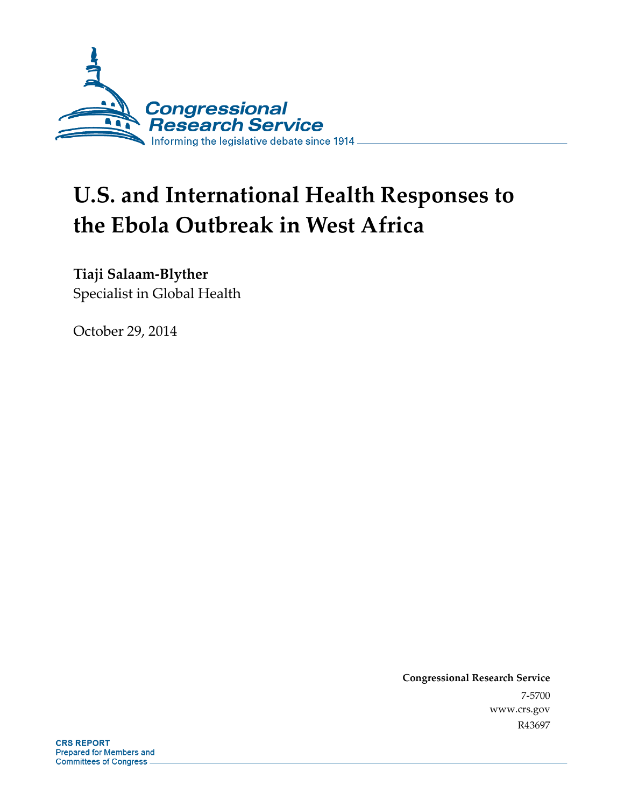

# **U.S. and International Health Responses to the Ebola Outbreak in West Africa**

**Tiaji Salaam-Blyther** 

Specialist in Global Health

October 29, 2014

**Congressional Research Service**  7-5700 www.crs.gov R43697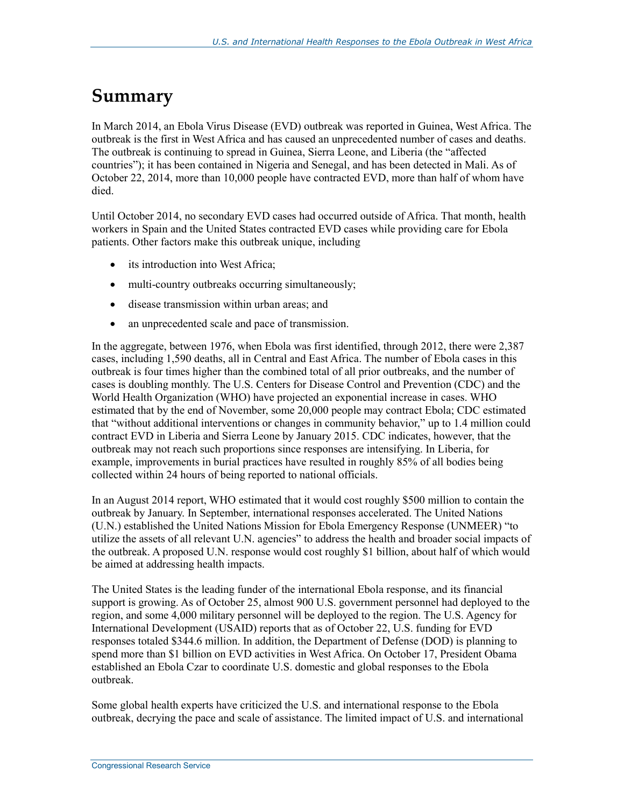## **Summary**

In March 2014, an Ebola Virus Disease (EVD) outbreak was reported in Guinea, West Africa. The outbreak is the first in West Africa and has caused an unprecedented number of cases and deaths. The outbreak is continuing to spread in Guinea, Sierra Leone, and Liberia (the "affected countries"); it has been contained in Nigeria and Senegal, and has been detected in Mali. As of October 22, 2014, more than 10,000 people have contracted EVD, more than half of whom have died.

Until October 2014, no secondary EVD cases had occurred outside of Africa. That month, health workers in Spain and the United States contracted EVD cases while providing care for Ebola patients. Other factors make this outbreak unique, including

- its introduction into West Africa;
- multi-country outbreaks occurring simultaneously;
- disease transmission within urban areas; and
- an unprecedented scale and pace of transmission.

In the aggregate, between 1976, when Ebola was first identified, through 2012, there were 2,387 cases, including 1,590 deaths, all in Central and East Africa. The number of Ebola cases in this outbreak is four times higher than the combined total of all prior outbreaks, and the number of cases is doubling monthly. The U.S. Centers for Disease Control and Prevention (CDC) and the World Health Organization (WHO) have projected an exponential increase in cases. WHO estimated that by the end of November, some 20,000 people may contract Ebola; CDC estimated that "without additional interventions or changes in community behavior," up to 1.4 million could contract EVD in Liberia and Sierra Leone by January 2015. CDC indicates, however, that the outbreak may not reach such proportions since responses are intensifying. In Liberia, for example, improvements in burial practices have resulted in roughly 85% of all bodies being collected within 24 hours of being reported to national officials.

In an August 2014 report, WHO estimated that it would cost roughly \$500 million to contain the outbreak by January. In September, international responses accelerated. The United Nations (U.N.) established the United Nations Mission for Ebola Emergency Response (UNMEER) "to utilize the assets of all relevant U.N. agencies" to address the health and broader social impacts of the outbreak. A proposed U.N. response would cost roughly \$1 billion, about half of which would be aimed at addressing health impacts.

The United States is the leading funder of the international Ebola response, and its financial support is growing. As of October 25, almost 900 U.S. government personnel had deployed to the region, and some 4,000 military personnel will be deployed to the region. The U.S. Agency for International Development (USAID) reports that as of October 22, U.S. funding for EVD responses totaled \$344.6 million. In addition, the Department of Defense (DOD) is planning to spend more than \$1 billion on EVD activities in West Africa. On October 17, President Obama established an Ebola Czar to coordinate U.S. domestic and global responses to the Ebola outbreak.

Some global health experts have criticized the U.S. and international response to the Ebola outbreak, decrying the pace and scale of assistance. The limited impact of U.S. and international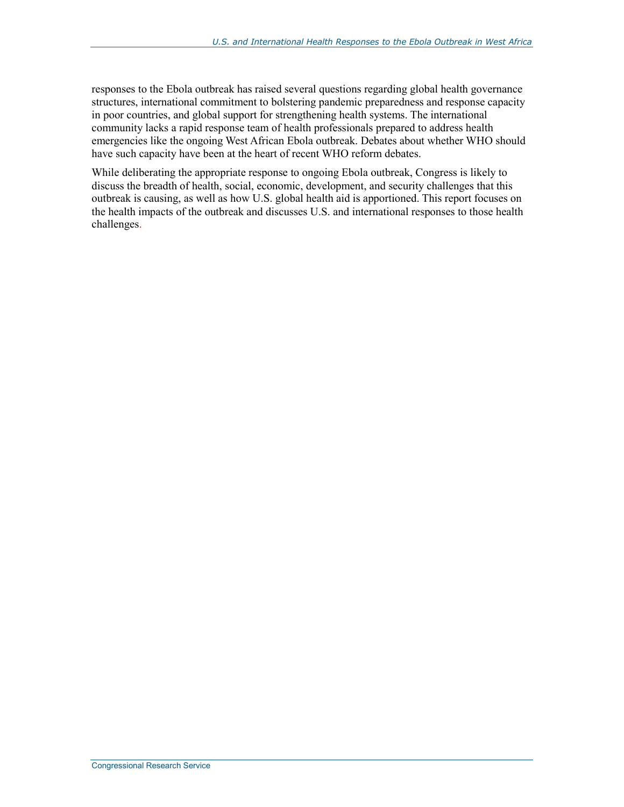responses to the Ebola outbreak has raised several questions regarding global health governance structures, international commitment to bolstering pandemic preparedness and response capacity in poor countries, and global support for strengthening health systems. The international community lacks a rapid response team of health professionals prepared to address health emergencies like the ongoing West African Ebola outbreak. Debates about whether WHO should have such capacity have been at the heart of recent WHO reform debates.

While deliberating the appropriate response to ongoing Ebola outbreak, Congress is likely to discuss the breadth of health, social, economic, development, and security challenges that this outbreak is causing, as well as how U.S. global health aid is apportioned. This report focuses on the health impacts of the outbreak and discusses U.S. and international responses to those health challenges.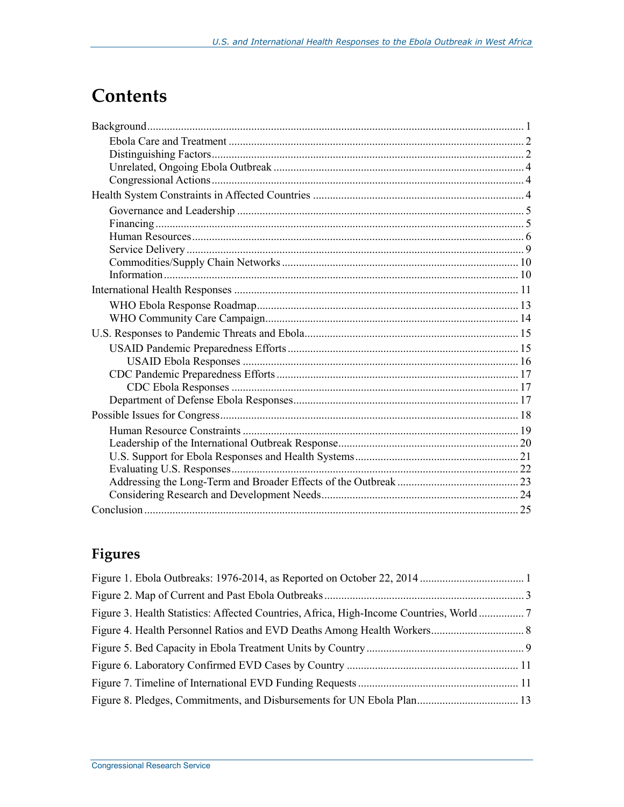## **Contents**

## Figures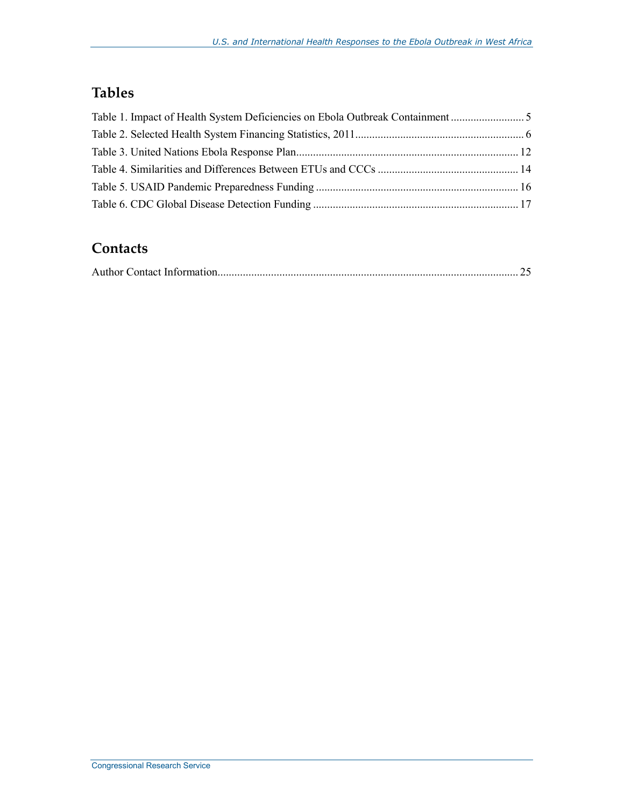## **Tables**

| Table 1. Impact of Health System Deficiencies on Ebola Outbreak Containment |  |
|-----------------------------------------------------------------------------|--|
|                                                                             |  |
|                                                                             |  |
|                                                                             |  |
|                                                                             |  |
|                                                                             |  |

### **Contacts**

|--|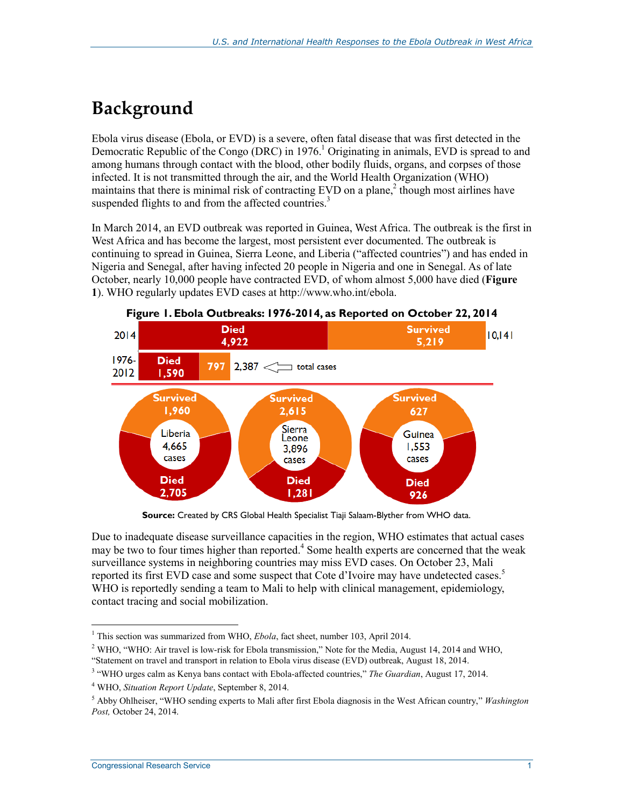## **Background**

Ebola virus disease (Ebola, or EVD) is a severe, often fatal disease that was first detected in the Democratic Republic of the Congo (DRC) in 1976.<sup>1</sup> Originating in animals, EVD is spread to and among humans through contact with the blood, other bodily fluids, organs, and corpses of those infected. It is not transmitted through the air, and the World Health Organization (WHO) maintains that there is minimal risk of contracting EVD on a plane,<sup>2</sup> though most airlines have suspended flights to and from the affected countries.<sup>3</sup>

In March 2014, an EVD outbreak was reported in Guinea, West Africa. The outbreak is the first in West Africa and has become the largest, most persistent ever documented. The outbreak is continuing to spread in Guinea, Sierra Leone, and Liberia ("affected countries") and has ended in Nigeria and Senegal, after having infected 20 people in Nigeria and one in Senegal. As of late October, nearly 10,000 people have contracted EVD, of whom almost 5,000 have died (**Figure 1**). WHO regularly updates EVD cases at http://www.who.int/ebola.



**Source:** Created by CRS Global Health Specialist Tiaji Salaam-Blyther from WHO data.

Due to inadequate disease surveillance capacities in the region, WHO estimates that actual cases may be two to four times higher than reported.<sup>4</sup> Some health experts are concerned that the weak surveillance systems in neighboring countries may miss EVD cases. On October 23, Mali reported its first EVD case and some suspect that Cote d'Ivoire may have undetected cases.5 WHO is reportedly sending a team to Mali to help with clinical management, epidemiology, contact tracing and social mobilization.

 1 This section was summarized from WHO, *Ebola*, fact sheet, number 103, April 2014.

<sup>&</sup>lt;sup>2</sup> WHO, "WHO: Air travel is low-risk for Ebola transmission," Note for the Media, August 14, 2014 and WHO,

<sup>&</sup>quot;Statement on travel and transport in relation to Ebola virus disease (EVD) outbreak, August 18, 2014.

<sup>3</sup> "WHO urges calm as Kenya bans contact with Ebola-affected countries," *The Guardian*, August 17, 2014.

<sup>4</sup> WHO, *Situation Report Update*, September 8, 2014.

<sup>5</sup> Abby Ohlheiser, "WHO sending experts to Mali after first Ebola diagnosis in the West African country," *Washington Post,* October 24, 2014.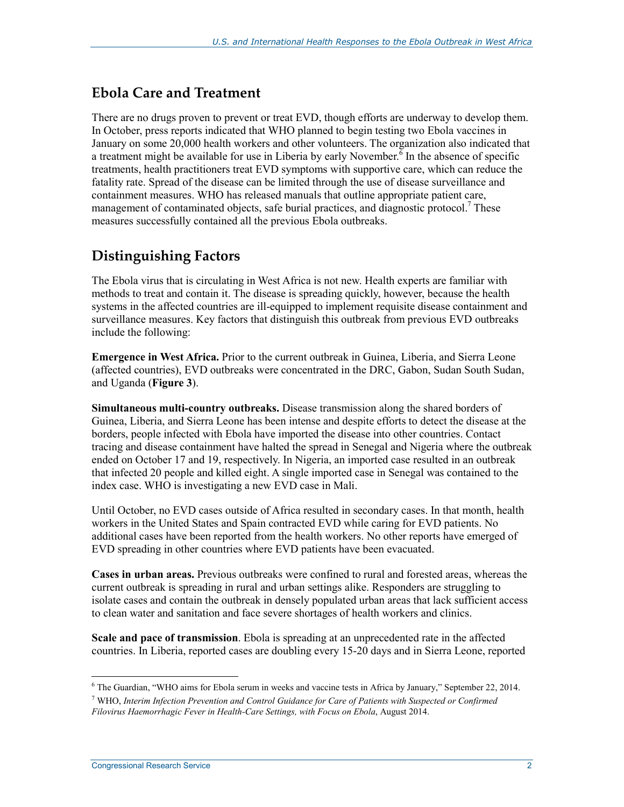#### **Ebola Care and Treatment**

There are no drugs proven to prevent or treat EVD, though efforts are underway to develop them. In October, press reports indicated that WHO planned to begin testing two Ebola vaccines in January on some 20,000 health workers and other volunteers. The organization also indicated that a treatment might be available for use in Liberia by early November.<sup> $\bar{6}$ </sup> In the absence of specific treatments, health practitioners treat EVD symptoms with supportive care, which can reduce the fatality rate. Spread of the disease can be limited through the use of disease surveillance and containment measures. WHO has released manuals that outline appropriate patient care, management of contaminated objects, safe burial practices, and diagnostic protocol.<sup>7</sup> These measures successfully contained all the previous Ebola outbreaks.

### **Distinguishing Factors**

The Ebola virus that is circulating in West Africa is not new. Health experts are familiar with methods to treat and contain it. The disease is spreading quickly, however, because the health systems in the affected countries are ill-equipped to implement requisite disease containment and surveillance measures. Key factors that distinguish this outbreak from previous EVD outbreaks include the following:

**Emergence in West Africa.** Prior to the current outbreak in Guinea, Liberia, and Sierra Leone (affected countries), EVD outbreaks were concentrated in the DRC, Gabon, Sudan South Sudan, and Uganda (**Figure 3**).

**Simultaneous multi-country outbreaks.** Disease transmission along the shared borders of Guinea, Liberia, and Sierra Leone has been intense and despite efforts to detect the disease at the borders, people infected with Ebola have imported the disease into other countries. Contact tracing and disease containment have halted the spread in Senegal and Nigeria where the outbreak ended on October 17 and 19, respectively. In Nigeria, an imported case resulted in an outbreak that infected 20 people and killed eight. A single imported case in Senegal was contained to the index case. WHO is investigating a new EVD case in Mali.

Until October, no EVD cases outside of Africa resulted in secondary cases. In that month, health workers in the United States and Spain contracted EVD while caring for EVD patients. No additional cases have been reported from the health workers. No other reports have emerged of EVD spreading in other countries where EVD patients have been evacuated.

**Cases in urban areas.** Previous outbreaks were confined to rural and forested areas, whereas the current outbreak is spreading in rural and urban settings alike. Responders are struggling to isolate cases and contain the outbreak in densely populated urban areas that lack sufficient access to clean water and sanitation and face severe shortages of health workers and clinics.

**Scale and pace of transmission**. Ebola is spreading at an unprecedented rate in the affected countries. In Liberia, reported cases are doubling every 15-20 days and in Sierra Leone, reported

<sup>&</sup>lt;sup>6</sup> The Guardian, "WHO aims for Ebola serum in weeks and vaccine tests in Africa by January," September 22, 2014.

<sup>7</sup> WHO, *Interim Infection Prevention and Control Guidance for Care of Patients with Suspected or Confirmed Filovirus Haemorrhagic Fever in Health-Care Settings, with Focus on Ebola*, August 2014.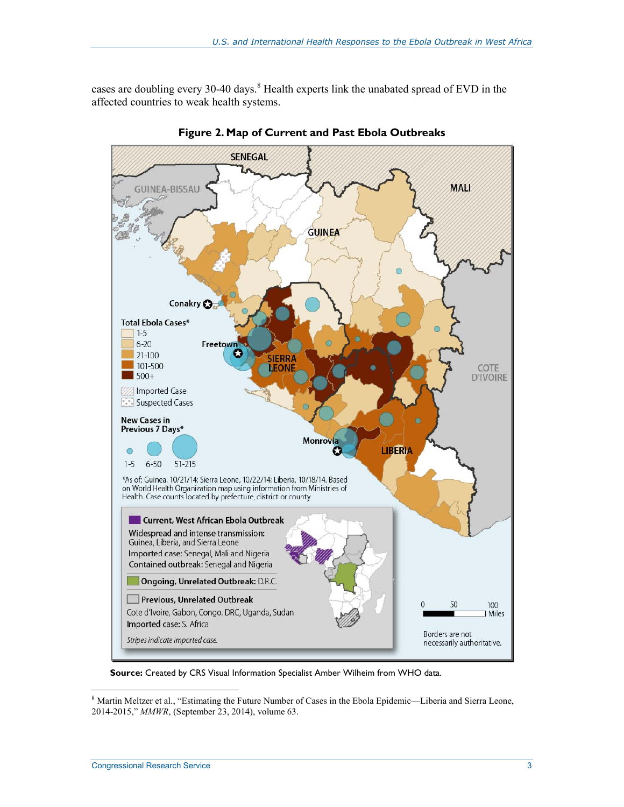cases are doubling every 30-40 days.<sup>8</sup> Health experts link the unabated spread of EVD in the affected countries to weak health systems.





**Source:** Created by CRS Visual Information Specialist Amber Wilheim from WHO data.

Whartin Meltzer et al., "Estimating the Future Number of Cases in the Ebola Epidemic—Liberia and Sierra Leone, 2014-2015," *MMWR*, (September 23, 2014), volume 63.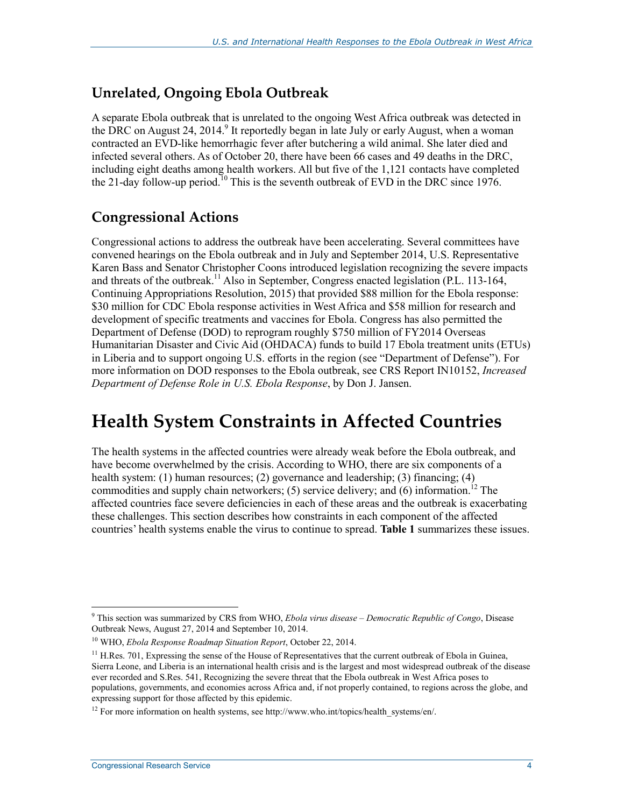### **Unrelated, Ongoing Ebola Outbreak**

A separate Ebola outbreak that is unrelated to the ongoing West Africa outbreak was detected in the DRC on August 24, 2014.<sup>9</sup> It reportedly began in late July or early August, when a woman contracted an EVD-like hemorrhagic fever after butchering a wild animal. She later died and infected several others. As of October 20, there have been 66 cases and 49 deaths in the DRC, including eight deaths among health workers. All but five of the 1,121 contacts have completed the 21-day follow-up period.<sup>10</sup> This is the seventh outbreak of EVD in the DRC since 1976.

### **Congressional Actions**

Congressional actions to address the outbreak have been accelerating. Several committees have convened hearings on the Ebola outbreak and in July and September 2014, U.S. Representative Karen Bass and Senator Christopher Coons introduced legislation recognizing the severe impacts and threats of the outbreak.<sup>11</sup> Also in September, Congress enacted legislation (P.L. 113-164, Continuing Appropriations Resolution, 2015) that provided \$88 million for the Ebola response: \$30 million for CDC Ebola response activities in West Africa and \$58 million for research and development of specific treatments and vaccines for Ebola. Congress has also permitted the Department of Defense (DOD) to reprogram roughly \$750 million of FY2014 Overseas Humanitarian Disaster and Civic Aid (OHDACA) funds to build 17 Ebola treatment units (ETUs) in Liberia and to support ongoing U.S. efforts in the region (see "Department of Defense"). For more information on DOD responses to the Ebola outbreak, see CRS Report IN10152, *Increased Department of Defense Role in U.S. Ebola Response*, by Don J. Jansen.

## **Health System Constraints in Affected Countries**

The health systems in the affected countries were already weak before the Ebola outbreak, and have become overwhelmed by the crisis. According to WHO, there are six components of a health system: (1) human resources; (2) governance and leadership; (3) financing; (4) commodities and supply chain networkers;  $(5)$  service delivery; and  $(6)$  information.<sup>12</sup> The affected countries face severe deficiencies in each of these areas and the outbreak is exacerbating these challenges. This section describes how constraints in each component of the affected countries' health systems enable the virus to continue to spread. **Table 1** summarizes these issues.

<sup>9</sup> This section was summarized by CRS from WHO, *Ebola virus disease – Democratic Republic of Congo*, Disease Outbreak News, August 27, 2014 and September 10, 2014.

<sup>10</sup> WHO, *Ebola Response Roadmap Situation Report*, October 22, 2014.

 $11$  H.Res. 701, Expressing the sense of the House of Representatives that the current outbreak of Ebola in Guinea, Sierra Leone, and Liberia is an international health crisis and is the largest and most widespread outbreak of the disease ever recorded and S.Res. 541, Recognizing the severe threat that the Ebola outbreak in West Africa poses to populations, governments, and economies across Africa and, if not properly contained, to regions across the globe, and expressing support for those affected by this epidemic.

 $12$  For more information on health systems, see http://www.who.int/topics/health\_systems/en/.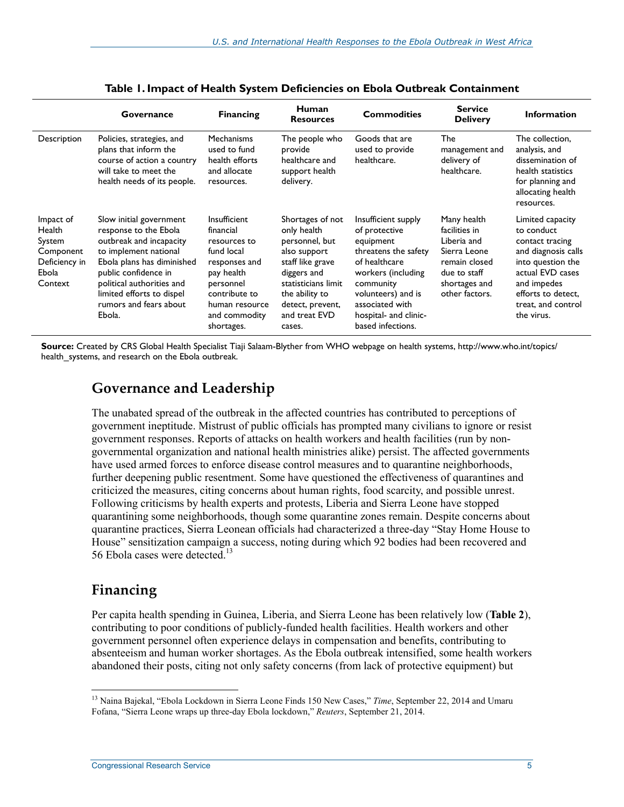|                                                                                 | Governance                                                                                                                                                                                                                                               | <b>Financing</b>                                                                                                                                                      | Human<br><b>Resources</b>                                                                                                                                                                    | <b>Commodities</b>                                                                                                                                                                                                   | <b>Service</b><br><b>Delivery</b>                                                                                               | <b>Information</b>                                                                                                                                                                         |
|---------------------------------------------------------------------------------|----------------------------------------------------------------------------------------------------------------------------------------------------------------------------------------------------------------------------------------------------------|-----------------------------------------------------------------------------------------------------------------------------------------------------------------------|----------------------------------------------------------------------------------------------------------------------------------------------------------------------------------------------|----------------------------------------------------------------------------------------------------------------------------------------------------------------------------------------------------------------------|---------------------------------------------------------------------------------------------------------------------------------|--------------------------------------------------------------------------------------------------------------------------------------------------------------------------------------------|
| Description                                                                     | Policies, strategies, and<br>plans that inform the<br>course of action a country<br>will take to meet the<br>health needs of its people.                                                                                                                 | <b>Mechanisms</b><br>used to fund<br>health efforts<br>and allocate<br>resources.                                                                                     | The people who<br>provide<br>healthcare and<br>support health<br>delivery.                                                                                                                   | Goods that are<br>used to provide<br>healthcare.                                                                                                                                                                     | The<br>management and<br>delivery of<br>healthcare.                                                                             | The collection,<br>analysis, and<br>dissemination of<br>health statistics<br>for planning and<br>allocating health<br>resources.                                                           |
| Impact of<br>Health<br>System<br>Component<br>Deficiency in<br>Ebola<br>Context | Slow initial government<br>response to the Ebola<br>outbreak and incapacity<br>to implement national<br>Ebola plans has diminished<br>public confidence in<br>political authorities and<br>limited efforts to dispel<br>rumors and fears about<br>Ebola. | Insufficient<br>financial<br>resources to<br>fund local<br>responses and<br>pay health<br>personnel<br>contribute to<br>human resource<br>and commodity<br>shortages. | Shortages of not<br>only health<br>personnel, but<br>also support<br>staff like grave<br>diggers and<br>statisticians limit<br>the ability to<br>detect, prevent,<br>and treat EVD<br>cases. | Insufficient supply<br>of protective<br>equipment<br>threatens the safety<br>of healthcare<br>workers (including<br>community<br>volunteers) and is<br>associated with<br>hospital- and clinic-<br>based infections. | Many health<br>facilities in<br>Liberia and<br>Sierra Leone<br>remain closed<br>due to staff<br>shortages and<br>other factors. | Limited capacity<br>to conduct<br>contact tracing<br>and diagnosis calls<br>into question the<br>actual EVD cases<br>and impedes<br>efforts to detect,<br>treat, and control<br>the virus. |

#### **Table 1. Impact of Health System Deficiencies on Ebola Outbreak Containment**

**Source:** Created by CRS Global Health Specialist Tiaji Salaam-Blyther from WHO webpage on health systems, http://www.who.int/topics/ health\_systems, and research on the Ebola outbreak.

#### **Governance and Leadership**

The unabated spread of the outbreak in the affected countries has contributed to perceptions of government ineptitude. Mistrust of public officials has prompted many civilians to ignore or resist government responses. Reports of attacks on health workers and health facilities (run by nongovernmental organization and national health ministries alike) persist. The affected governments have used armed forces to enforce disease control measures and to quarantine neighborhoods, further deepening public resentment. Some have questioned the effectiveness of quarantines and criticized the measures, citing concerns about human rights, food scarcity, and possible unrest. Following criticisms by health experts and protests, Liberia and Sierra Leone have stopped quarantining some neighborhoods, though some quarantine zones remain. Despite concerns about quarantine practices, Sierra Leonean officials had characterized a three-day "Stay Home House to House" sensitization campaign a success, noting during which 92 bodies had been recovered and 56 Ebola cases were detected.<sup>13</sup>

### **Financing**

Per capita health spending in Guinea, Liberia, and Sierra Leone has been relatively low (**Table 2**), contributing to poor conditions of publicly-funded health facilities. Health workers and other government personnel often experience delays in compensation and benefits, contributing to absenteeism and human worker shortages. As the Ebola outbreak intensified, some health workers abandoned their posts, citing not only safety concerns (from lack of protective equipment) but

<sup>1</sup> 13 Naina Bajekal, "Ebola Lockdown in Sierra Leone Finds 150 New Cases," *Time*, September 22, 2014 and Umaru Fofana, "Sierra Leone wraps up three-day Ebola lockdown," *Reuters*, September 21, 2014.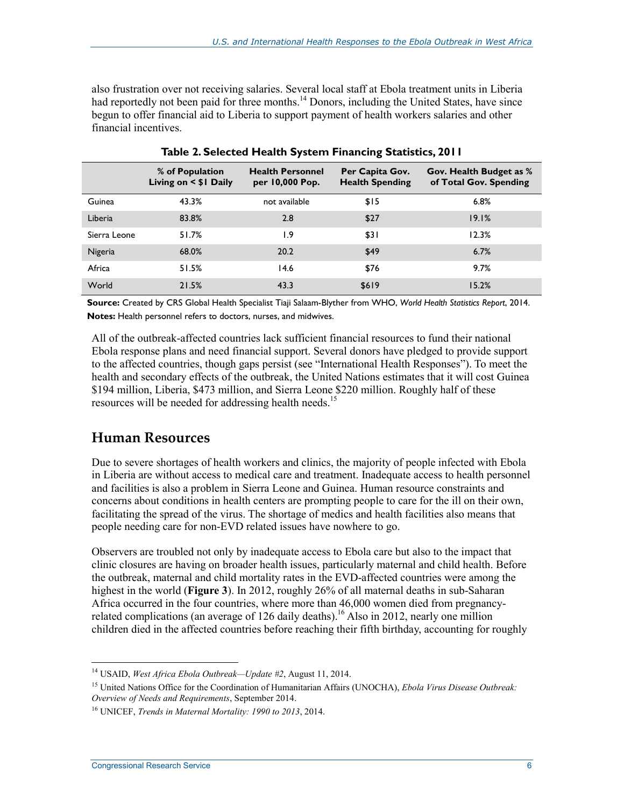also frustration over not receiving salaries. Several local staff at Ebola treatment units in Liberia had reportedly not been paid for three months.<sup>14</sup> Donors, including the United States, have since begun to offer financial aid to Liberia to support payment of health workers salaries and other financial incentives.

|              | % of Population<br>Living on < \$1 Daily | <b>Health Personnel</b><br>per 10,000 Pop. | Per Capita Gov.<br><b>Health Spending</b> | Gov. Health Budget as %<br>of Total Gov. Spending |
|--------------|------------------------------------------|--------------------------------------------|-------------------------------------------|---------------------------------------------------|
| Guinea       | 43.3%                                    | not available                              | \$15                                      | 6.8%                                              |
| Liberia      | 83.8%                                    | 2.8                                        | \$27                                      | 19.1%                                             |
| Sierra Leone | 51.7%                                    | و. ا                                       | \$31                                      | 12.3%                                             |
| Nigeria      | 68.0%                                    | 20.2                                       | \$49                                      | 6.7%                                              |
| Africa       | 51.5%                                    | 14.6                                       | \$76                                      | 9.7%                                              |
| World        | 21.5%                                    | 43.3                                       | \$619                                     | 15.2%                                             |

**Table 2. Selected Health System Financing Statistics, 2011** 

**Source:** Created by CRS Global Health Specialist Tiaji Salaam-Blyther from WHO, *World Health Statistics Report*, 2014. **Notes:** Health personnel refers to doctors, nurses, and midwives.

All of the outbreak-affected countries lack sufficient financial resources to fund their national Ebola response plans and need financial support. Several donors have pledged to provide support to the affected countries, though gaps persist (see "International Health Responses"). To meet the health and secondary effects of the outbreak, the United Nations estimates that it will cost Guinea \$194 million, Liberia, \$473 million, and Sierra Leone \$220 million. Roughly half of these resources will be needed for addressing health needs.<sup>15</sup>

#### **Human Resources**

Due to severe shortages of health workers and clinics, the majority of people infected with Ebola in Liberia are without access to medical care and treatment. Inadequate access to health personnel and facilities is also a problem in Sierra Leone and Guinea. Human resource constraints and concerns about conditions in health centers are prompting people to care for the ill on their own, facilitating the spread of the virus. The shortage of medics and health facilities also means that people needing care for non-EVD related issues have nowhere to go.

Observers are troubled not only by inadequate access to Ebola care but also to the impact that clinic closures are having on broader health issues, particularly maternal and child health. Before the outbreak, maternal and child mortality rates in the EVD-affected countries were among the highest in the world (**Figure 3**). In 2012, roughly 26% of all maternal deaths in sub-Saharan Africa occurred in the four countries, where more than 46,000 women died from pregnancyrelated complications (an average of 126 daily deaths).<sup>16</sup> Also in 2012, nearly one million children died in the affected countries before reaching their fifth birthday, accounting for roughly

<sup>14</sup> USAID, *West Africa Ebola Outbreak—Update #2*, August 11, 2014.

<sup>15</sup> United Nations Office for the Coordination of Humanitarian Affairs (UNOCHA), *Ebola Virus Disease Outbreak: Overview of Needs and Requirements*, September 2014.

<sup>16</sup> UNICEF, *Trends in Maternal Mortality: 1990 to 2013*, 2014.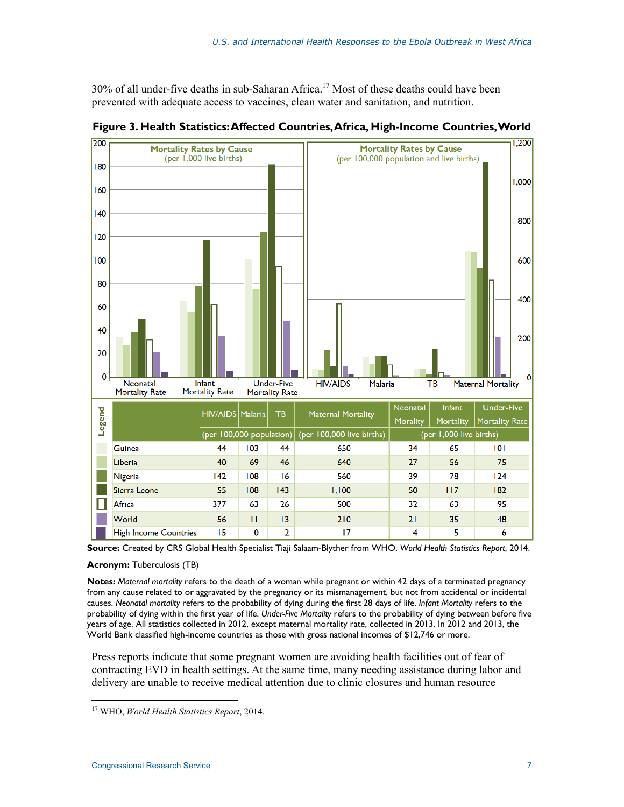30% of all under-five deaths in sub-Saharan Africa.<sup>17</sup> Most of these deaths could have been prevented with adequate access to vaccines, clean water and sanitation, and nutrition.



**Figure 3. Health Statistics: Affected Countries, Africa, High-Income Countries, World** 

**Source:** Created by CRS Global Health Specialist Tiaji Salaam-Blyther from WHO, *World Health Statistics Report*, 2014.

#### **Acronym:** Tuberculosis (TB)

**Notes:** *Maternal mortality* refers to the death of a woman while pregnant or within 42 days of a terminated pregnancy from any cause related to or aggravated by the pregnancy or its mismanagement, but not from accidental or incidental causes. *Neonatal mortality* refers to the probability of dying during the first 28 days of life. *Infant Mortality* refers to the probability of dying within the first year of life. *Under-Five Mortality* refers to the probability of dying between before five years of age. All statistics collected in 2012, except maternal mortality rate, collected in 2013. In 2012 and 2013, the World Bank classified high-income countries as those with gross national incomes of \$12,746 or more.

Press reports indicate that some pregnant women are avoiding health facilities out of fear of contracting EVD in health settings. At the same time, many needing assistance during labor and delivery are unable to receive medical attention due to clinic closures and human resource

<sup>&</sup>lt;u>.</u> 17 WHO, *World Health Statistics Report*, 2014.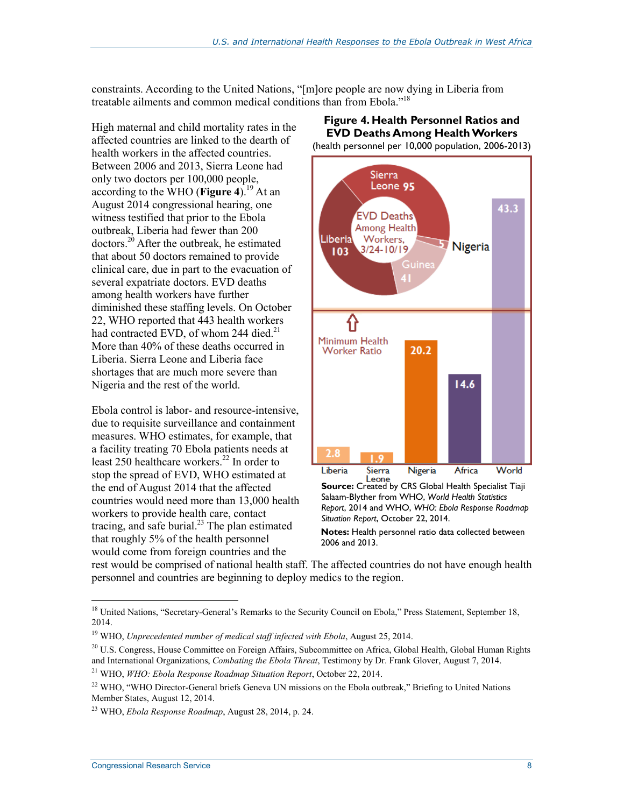constraints. According to the United Nations, "[m]ore people are now dying in Liberia from treatable ailments and common medical conditions than from Ebola."18

High maternal and child mortality rates in the affected countries are linked to the dearth of health workers in the affected countries. Between 2006 and 2013, Sierra Leone had only two doctors per 100,000 people, according to the WHO (**Figure 4**).19 At an August 2014 congressional hearing, one witness testified that prior to the Ebola outbreak, Liberia had fewer than 200  $dotors.<sup>20</sup>$  After the outbreak, he estimated that about 50 doctors remained to provide clinical care, due in part to the evacuation of several expatriate doctors. EVD deaths among health workers have further diminished these staffing levels. On October 22, WHO reported that 443 health workers had contracted EVD, of whom 244 died. $21$ More than 40% of these deaths occurred in Liberia. Sierra Leone and Liberia face shortages that are much more severe than Nigeria and the rest of the world.

Ebola control is labor- and resource-intensive, due to requisite surveillance and containment measures. WHO estimates, for example, that a facility treating 70 Ebola patients needs at least 250 healthcare workers.<sup>22</sup> In order to stop the spread of EVD, WHO estimated at the end of August 2014 that the affected countries would need more than 13,000 health workers to provide health care, contact tracing, and safe burial. $^{23}$  The plan estimated that roughly 5% of the health personnel would come from foreign countries and the



Salaam-Blyther from WHO, *World Health Statistics Report*, 2014 and WHO, *WHO: Ebola Response Roadmap Situation Report*, October 22, 2014.

**Notes:** Health personnel ratio data collected between 2006 and 2013.

rest would be comprised of national health staff. The affected countries do not have enough health personnel and countries are beginning to deploy medics to the region.

Congressional Research Service 8

<sup>&</sup>lt;sup>18</sup> United Nations, "Secretary-General's Remarks to the Security Council on Ebola," Press Statement, September 18, 2014.

<sup>&</sup>lt;sup>19</sup> WHO, *Unprecedented number of medical staff infected with Ebola*, August 25, 2014.

<sup>&</sup>lt;sup>20</sup> U.S. Congress, House Committee on Foreign Affairs, Subcommittee on Africa, Global Health, Global Human Rights and International Organizations, *Combating the Ebola Threat*, Testimony by Dr. Frank Glover, August 7, 2014.

<sup>21</sup> WHO, *WHO: Ebola Response Roadmap Situation Report*, October 22, 2014.

<sup>&</sup>lt;sup>22</sup> WHO, "WHO Director-General briefs Geneva UN missions on the Ebola outbreak," Briefing to United Nations Member States, August 12, 2014.

<sup>23</sup> WHO, *Ebola Response Roadmap*, August 28, 2014, p. 24.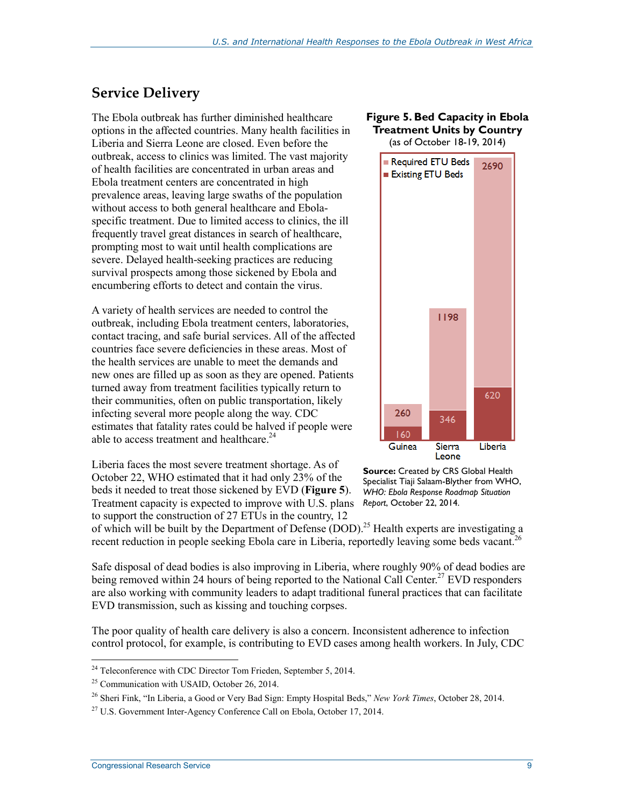### **Service Delivery**

The Ebola outbreak has further diminished healthcare options in the affected countries. Many health facilities in Liberia and Sierra Leone are closed. Even before the outbreak, access to clinics was limited. The vast majority of health facilities are concentrated in urban areas and Ebola treatment centers are concentrated in high prevalence areas, leaving large swaths of the population without access to both general healthcare and Ebolaspecific treatment. Due to limited access to clinics, the ill frequently travel great distances in search of healthcare, prompting most to wait until health complications are severe. Delayed health-seeking practices are reducing survival prospects among those sickened by Ebola and encumbering efforts to detect and contain the virus.

A variety of health services are needed to control the outbreak, including Ebola treatment centers, laboratories, contact tracing, and safe burial services. All of the affected countries face severe deficiencies in these areas. Most of the health services are unable to meet the demands and new ones are filled up as soon as they are opened. Patients turned away from treatment facilities typically return to their communities, often on public transportation, likely infecting several more people along the way. CDC estimates that fatality rates could be halved if people were able to access treatment and healthcare.<sup>24</sup>

Liberia faces the most severe treatment shortage. As of October 22, WHO estimated that it had only 23% of the beds it needed to treat those sickened by EVD (**Figure 5**). Treatment capacity is expected to improve with U.S. plans to support the construction of 27 ETUs in the country, 12

#### **Figure 5. Bed Capacity in Ebola Treatment Units by Country**

(as of October 18-19, 2014)



**Source:** Created by CRS Global Health Specialist Tiaji Salaam-Blyther from WHO, *WHO: Ebola Response Roadmap Situation Report*, October 22, 2014.

of which will be built by the Department of Defense (DOD).<sup>25</sup> Health experts are investigating a recent reduction in people seeking Ebola care in Liberia, reportedly leaving some beds vacant.<sup>26</sup>

Safe disposal of dead bodies is also improving in Liberia, where roughly 90% of dead bodies are being removed within 24 hours of being reported to the National Call Center.<sup>27</sup> EVD responders are also working with community leaders to adapt traditional funeral practices that can facilitate EVD transmission, such as kissing and touching corpses.

The poor quality of health care delivery is also a concern. Inconsistent adherence to infection control protocol, for example, is contributing to EVD cases among health workers. In July, CDC

 $24$  Teleconference with CDC Director Tom Frieden, September 5, 2014.

<sup>25</sup> Communication with USAID, October 26, 2014.

<sup>26</sup> Sheri Fink, "In Liberia, a Good or Very Bad Sign: Empty Hospital Beds," *New York Times*, October 28, 2014.

 $^{27}$  U.S. Government Inter-Agency Conference Call on Ebola, October 17, 2014.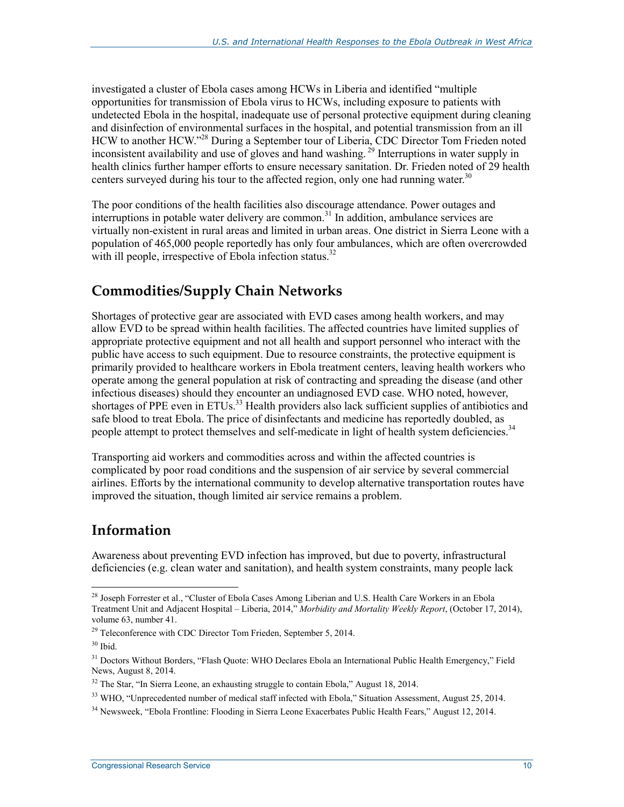investigated a cluster of Ebola cases among HCWs in Liberia and identified "multiple opportunities for transmission of Ebola virus to HCWs, including exposure to patients with undetected Ebola in the hospital, inadequate use of personal protective equipment during cleaning and disinfection of environmental surfaces in the hospital, and potential transmission from an ill HCW to another HCW."<sup>28</sup> During a September tour of Liberia, CDC Director Tom Frieden noted inconsistent availability and use of gloves and hand washing.<sup>29</sup> Interruptions in water supply in health clinics further hamper efforts to ensure necessary sanitation. Dr. Frieden noted of 29 health centers surveyed during his tour to the affected region, only one had running water.<sup>30</sup>

The poor conditions of the health facilities also discourage attendance. Power outages and interruptions in potable water delivery are common.<sup>31</sup> In addition, ambulance services are virtually non-existent in rural areas and limited in urban areas. One district in Sierra Leone with a population of 465,000 people reportedly has only four ambulances, which are often overcrowded with ill people, irrespective of Ebola infection status.<sup>32</sup>

### **Commodities/Supply Chain Networks**

Shortages of protective gear are associated with EVD cases among health workers, and may allow EVD to be spread within health facilities. The affected countries have limited supplies of appropriate protective equipment and not all health and support personnel who interact with the public have access to such equipment. Due to resource constraints, the protective equipment is primarily provided to healthcare workers in Ebola treatment centers, leaving health workers who operate among the general population at risk of contracting and spreading the disease (and other infectious diseases) should they encounter an undiagnosed EVD case. WHO noted, however, shortages of PPE even in ETUs.<sup>33</sup> Health providers also lack sufficient supplies of antibiotics and safe blood to treat Ebola. The price of disinfectants and medicine has reportedly doubled, as people attempt to protect themselves and self-medicate in light of health system deficiencies.<sup>34</sup>

Transporting aid workers and commodities across and within the affected countries is complicated by poor road conditions and the suspension of air service by several commercial airlines. Efforts by the international community to develop alternative transportation routes have improved the situation, though limited air service remains a problem.

#### **Information**

Awareness about preventing EVD infection has improved, but due to poverty, infrastructural deficiencies (e.g. clean water and sanitation), and health system constraints, many people lack

<sup>&</sup>lt;sup>28</sup> Joseph Forrester et al., "Cluster of Ebola Cases Among Liberian and U.S. Health Care Workers in an Ebola Treatment Unit and Adjacent Hospital – Liberia, 2014," *Morbidity and Mortality Weekly Report*, (October 17, 2014), volume 63, number 41.

<sup>&</sup>lt;sup>29</sup> Teleconference with CDC Director Tom Frieden, September 5, 2014.

 $30$  Ibid.

<sup>&</sup>lt;sup>31</sup> Doctors Without Borders, "Flash Quote: WHO Declares Ebola an International Public Health Emergency," Field News, August 8, 2014.

<sup>&</sup>lt;sup>32</sup> The Star, "In Sierra Leone, an exhausting struggle to contain Ebola," August 18, 2014.

<sup>&</sup>lt;sup>33</sup> WHO. "Unprecedented number of medical staff infected with Ebola," Situation Assessment, August 25, 2014.

<sup>34</sup> Newsweek, "Ebola Frontline: Flooding in Sierra Leone Exacerbates Public Health Fears," August 12, 2014.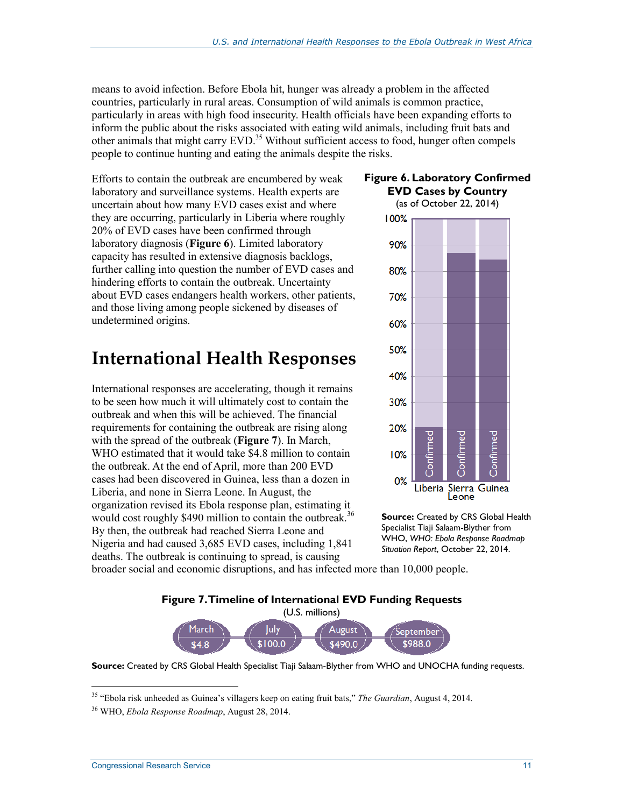means to avoid infection. Before Ebola hit, hunger was already a problem in the affected countries, particularly in rural areas. Consumption of wild animals is common practice, particularly in areas with high food insecurity. Health officials have been expanding efforts to inform the public about the risks associated with eating wild animals, including fruit bats and other animals that might carry EVD.<sup>35</sup> Without sufficient access to food, hunger often compels people to continue hunting and eating the animals despite the risks.

Efforts to contain the outbreak are encumbered by weak laboratory and surveillance systems. Health experts are uncertain about how many EVD cases exist and where they are occurring, particularly in Liberia where roughly 20% of EVD cases have been confirmed through laboratory diagnosis (**Figure 6**). Limited laboratory capacity has resulted in extensive diagnosis backlogs, further calling into question the number of EVD cases and hindering efforts to contain the outbreak. Uncertainty about EVD cases endangers health workers, other patients, and those living among people sickened by diseases of undetermined origins.

## **International Health Responses**

International responses are accelerating, though it remains to be seen how much it will ultimately cost to contain the outbreak and when this will be achieved. The financial requirements for containing the outbreak are rising along with the spread of the outbreak (**Figure 7**). In March, WHO estimated that it would take \$4.8 million to contain the outbreak. At the end of April, more than 200 EVD cases had been discovered in Guinea, less than a dozen in Liberia, and none in Sierra Leone. In August, the organization revised its Ebola response plan, estimating it would cost roughly \$490 million to contain the outbreak.<sup>36</sup> By then, the outbreak had reached Sierra Leone and Nigeria and had caused 3,685 EVD cases, including 1,841 deaths. The outbreak is continuing to spread, is causing

#### **Figure 6. Laboratory Confirmed EVD Cases by Country**



**Source:** Created by CRS Global Health Specialist Tiaji Salaam-Blyther from WHO, *WHO: Ebola Response Roadmap Situation Report*, October 22, 2014.

broader social and economic disruptions, and has infected more than 10,000 people.

**Figure 7. Timeline of International EVD Funding Requests** 



**Source:** Created by CRS Global Health Specialist Tiaji Salaam-Blyther from WHO and UNOCHA funding requests.

<sup>35 &</sup>quot;Ebola risk unheeded as Guinea's villagers keep on eating fruit bats," *The Guardian*, August 4, 2014.

<sup>36</sup> WHO, *Ebola Response Roadmap*, August 28, 2014.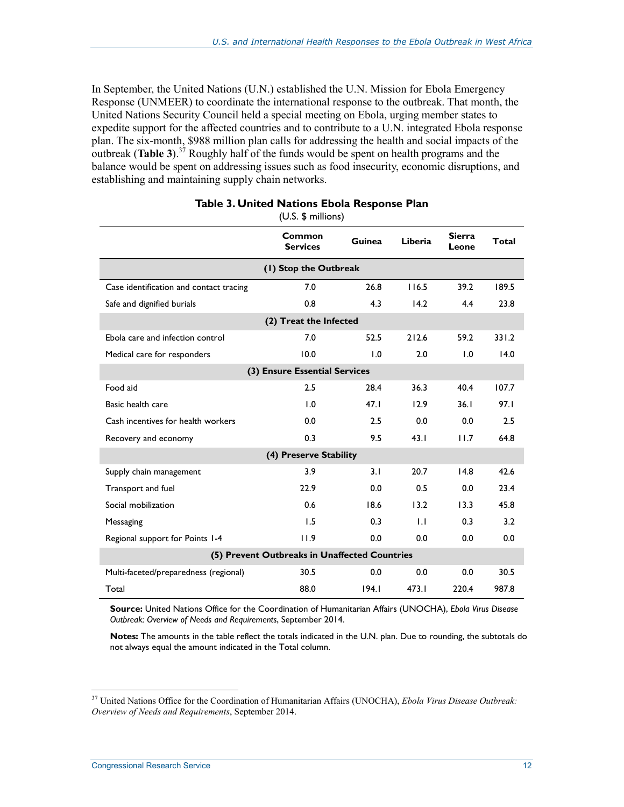In September, the United Nations (U.N.) established the U.N. Mission for Ebola Emergency Response (UNMEER) to coordinate the international response to the outbreak. That month, the United Nations Security Council held a special meeting on Ebola, urging member states to expedite support for the affected countries and to contribute to a U.N. integrated Ebola response plan. The six-month, \$988 million plan calls for addressing the health and social impacts of the outbreak (**Table 3**).<sup>37</sup> Roughly half of the funds would be spent on health programs and the balance would be spent on addressing issues such as food insecurity, economic disruptions, and establishing and maintaining supply chain networks.

|                                         | Common<br><b>Services</b>                     | <b>Guinea</b> | Liberia | <b>Sierra</b><br>Leone | Total |  |  |  |  |  |
|-----------------------------------------|-----------------------------------------------|---------------|---------|------------------------|-------|--|--|--|--|--|
| (1) Stop the Outbreak                   |                                               |               |         |                        |       |  |  |  |  |  |
| Case identification and contact tracing | 7.0                                           | 26.8          | 116.5   | 39.2                   | 189.5 |  |  |  |  |  |
| Safe and dignified burials              | 0.8                                           | 4.3           | 14.2    | 4.4                    | 23.8  |  |  |  |  |  |
| (2) Treat the Infected                  |                                               |               |         |                        |       |  |  |  |  |  |
| Ebola care and infection control        | 7.0                                           | 52.5          | 212.6   | 59.2                   | 331.2 |  |  |  |  |  |
| Medical care for responders             | 10.0                                          | 1.0           | 2.0     | 1.0                    | 14.0  |  |  |  |  |  |
|                                         | (3) Ensure Essential Services                 |               |         |                        |       |  |  |  |  |  |
| Food aid                                | 2.5                                           | 28.4          | 36.3    | 40.4                   | 107.7 |  |  |  |  |  |
| Basic health care                       | 1.0                                           | 47.1          | 12.9    | 36.1                   | 97.I  |  |  |  |  |  |
| Cash incentives for health workers      | 0.0                                           | 2.5           | 0.0     | 0.0                    | 2.5   |  |  |  |  |  |
| Recovery and economy                    | 0.3                                           | 9.5           | 43.1    | 11.7                   | 64.8  |  |  |  |  |  |
|                                         | (4) Preserve Stability                        |               |         |                        |       |  |  |  |  |  |
| Supply chain management                 | 3.9                                           | 3.1           | 20.7    | 14.8                   | 42.6  |  |  |  |  |  |
| Transport and fuel                      | 22.9                                          | 0.0           | 0.5     | 0.0                    | 23.4  |  |  |  |  |  |
| Social mobilization                     | 0.6                                           | 18.6          | 13.2    | 13.3                   | 45.8  |  |  |  |  |  |
| Messaging                               | 1.5                                           | 0.3           | 1.1     | 0.3                    | 3.2   |  |  |  |  |  |
| Regional support for Points 1-4         | 11.9                                          | 0.0           | 0.0     | 0.0                    | 0.0   |  |  |  |  |  |
|                                         | (5) Prevent Outbreaks in Unaffected Countries |               |         |                        |       |  |  |  |  |  |
| Multi-faceted/preparedness (regional)   | 30.5                                          | 0.0           | 0.0     | 0.0                    | 30.5  |  |  |  |  |  |
| Total                                   | 88.0                                          | 194.1         | 473.1   | 220.4                  | 987.8 |  |  |  |  |  |

#### **Table 3. United Nations Ebola Response Plan**

(U.S. \$ millions)

**Source:** United Nations Office for the Coordination of Humanitarian Affairs (UNOCHA), *Ebola Virus Disease Outbreak: Overview of Needs and Requirements*, September 2014.

**Notes:** The amounts in the table reflect the totals indicated in the U.N. plan. Due to rounding, the subtotals do not always equal the amount indicated in the Total column.

<sup>37</sup> United Nations Office for the Coordination of Humanitarian Affairs (UNOCHA), *Ebola Virus Disease Outbreak: Overview of Needs and Requirements*, September 2014.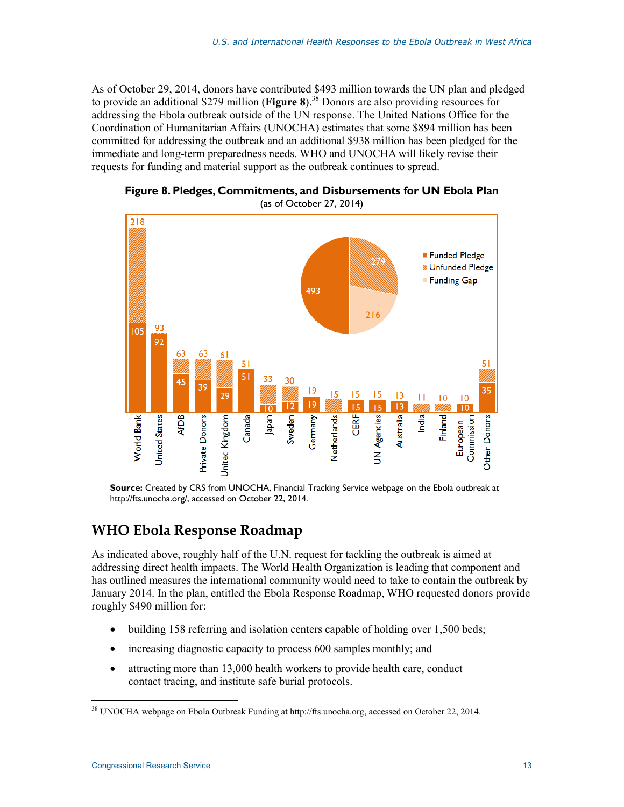As of October 29, 2014, donors have contributed \$493 million towards the UN plan and pledged to provide an additional \$279 million (**Figure 8**).<sup>38</sup> Donors are also providing resources for addressing the Ebola outbreak outside of the UN response. The United Nations Office for the Coordination of Humanitarian Affairs (UNOCHA) estimates that some \$894 million has been committed for addressing the outbreak and an additional \$938 million has been pledged for the immediate and long-term preparedness needs. WHO and UNOCHA will likely revise their requests for funding and material support as the outbreak continues to spread.



**Figure 8. Pledges, Commitments, and Disbursements for UN Ebola Plan**  (as of October 27, 2014)

**Source:** Created by CRS from UNOCHA, Financial Tracking Service webpage on the Ebola outbreak at http://fts.unocha.org/, accessed on October 22, 2014.

#### **WHO Ebola Response Roadmap**

As indicated above, roughly half of the U.N. request for tackling the outbreak is aimed at addressing direct health impacts. The World Health Organization is leading that component and has outlined measures the international community would need to take to contain the outbreak by January 2014. In the plan, entitled the Ebola Response Roadmap, WHO requested donors provide roughly \$490 million for:

- building 158 referring and isolation centers capable of holding over 1,500 beds;
- increasing diagnostic capacity to process 600 samples monthly; and
- attracting more than 13,000 health workers to provide health care, conduct contact tracing, and institute safe burial protocols.

<u>.</u>

 $38$  UNOCHA webpage on Ebola Outbreak Funding at http://fts.unocha.org, accessed on October 22, 2014.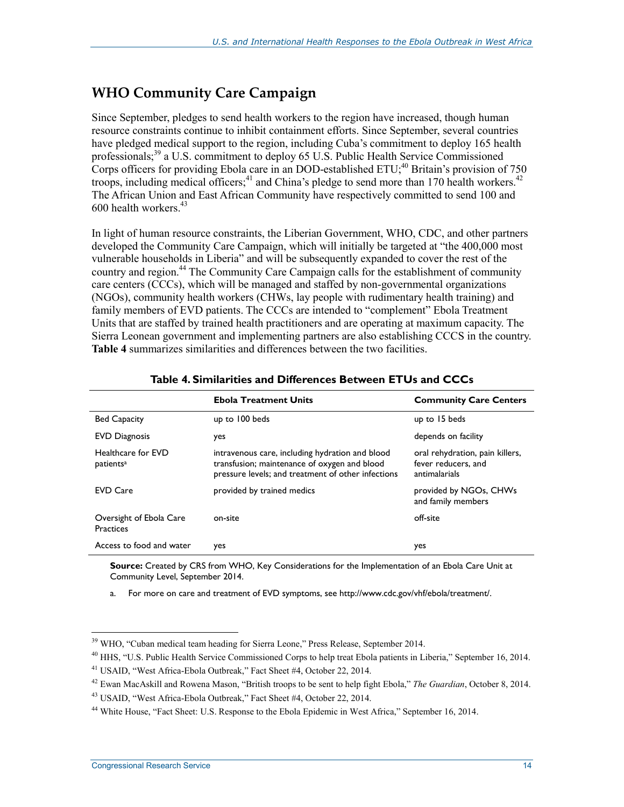### **WHO Community Care Campaign**

Since September, pledges to send health workers to the region have increased, though human resource constraints continue to inhibit containment efforts. Since September, several countries have pledged medical support to the region, including Cuba's commitment to deploy 165 health professionals;<sup>39</sup> a U.S. commitment to deploy 65 U.S. Public Health Service Commissioned Corps officers for providing Ebola care in an DOD-established ETU;  $40$  Britain's provision of 750 troops, including medical officers;<sup>41</sup> and China's pledge to send more than 170 health workers.<sup>42</sup> The African Union and East African Community have respectively committed to send 100 and 600 health workers.<sup>43</sup>

In light of human resource constraints, the Liberian Government, WHO, CDC, and other partners developed the Community Care Campaign, which will initially be targeted at "the 400,000 most vulnerable households in Liberia" and will be subsequently expanded to cover the rest of the country and region.<sup>44</sup> The Community Care Campaign calls for the establishment of community care centers (CCCs), which will be managed and staffed by non-governmental organizations (NGOs), community health workers (CHWs, lay people with rudimentary health training) and family members of EVD patients. The CCCs are intended to "complement" Ebola Treatment Units that are staffed by trained health practitioners and are operating at maximum capacity. The Sierra Leonean government and implementing partners are also establishing CCCS in the country. **Table 4** summarizes similarities and differences between the two facilities.

|                                             | <b>Ebola Treatment Units</b>                                                                                                                          | <b>Community Care Centers</b>                                           |
|---------------------------------------------|-------------------------------------------------------------------------------------------------------------------------------------------------------|-------------------------------------------------------------------------|
| <b>Bed Capacity</b>                         | up to 100 beds                                                                                                                                        | up to 15 beds                                                           |
| <b>EVD Diagnosis</b>                        | yes                                                                                                                                                   | depends on facility                                                     |
| Healthcare for EVD<br>patients <sup>a</sup> | intravenous care, including hydration and blood<br>transfusion; maintenance of oxygen and blood<br>pressure levels; and treatment of other infections | oral rehydration, pain killers,<br>fever reducers, and<br>antimalarials |
| <b>EVD Care</b>                             | provided by trained medics                                                                                                                            | provided by NGOs, CHWs<br>and family members                            |
| Oversight of Ebola Care<br><b>Practices</b> | on-site                                                                                                                                               | off-site                                                                |
| Access to food and water                    | yes                                                                                                                                                   | yes                                                                     |

#### **Table 4. Similarities and Differences Between ETUs and CCCs**

**Source:** Created by CRS from WHO, Key Considerations for the Implementation of an Ebola Care Unit at Community Level, September 2014.

a. For more on care and treatment of EVD symptoms, see http://www.cdc.gov/vhf/ebola/treatment/.

<sup>1</sup> <sup>39</sup> WHO, "Cuban medical team heading for Sierra Leone," Press Release, September 2014.

<sup>40</sup> HHS, "U.S. Public Health Service Commissioned Corps to help treat Ebola patients in Liberia," September 16, 2014.

<sup>41</sup> USAID, "West Africa-Ebola Outbreak," Fact Sheet #4, October 22, 2014.

<sup>42</sup> Ewan MacAskill and Rowena Mason, "British troops to be sent to help fight Ebola," *The Guardian*, October 8, 2014.

<sup>43</sup> USAID, "West Africa-Ebola Outbreak," Fact Sheet #4, October 22, 2014.

<sup>44</sup> White House, "Fact Sheet: U.S. Response to the Ebola Epidemic in West Africa," September 16, 2014.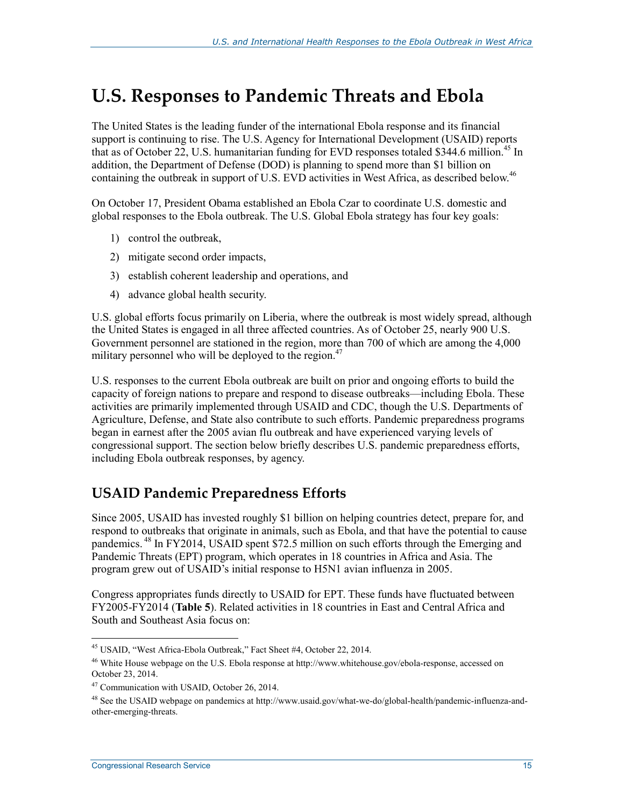## **U.S. Responses to Pandemic Threats and Ebola**

The United States is the leading funder of the international Ebola response and its financial support is continuing to rise. The U.S. Agency for International Development (USAID) reports that as of October 22, U.S. humanitarian funding for EVD responses totaled \$344.6 million.<sup>45</sup> In addition, the Department of Defense (DOD) is planning to spend more than \$1 billion on containing the outbreak in support of U.S. EVD activities in West Africa, as described below.<sup>46</sup>

On October 17, President Obama established an Ebola Czar to coordinate U.S. domestic and global responses to the Ebola outbreak. The U.S. Global Ebola strategy has four key goals:

- 1) control the outbreak,
- 2) mitigate second order impacts,
- 3) establish coherent leadership and operations, and
- 4) advance global health security.

U.S. global efforts focus primarily on Liberia, where the outbreak is most widely spread, although the United States is engaged in all three affected countries. As of October 25, nearly 900 U.S. Government personnel are stationed in the region, more than 700 of which are among the 4,000 military personnel who will be deployed to the region.<sup>47</sup>

U.S. responses to the current Ebola outbreak are built on prior and ongoing efforts to build the capacity of foreign nations to prepare and respond to disease outbreaks—including Ebola. These activities are primarily implemented through USAID and CDC, though the U.S. Departments of Agriculture, Defense, and State also contribute to such efforts. Pandemic preparedness programs began in earnest after the 2005 avian flu outbreak and have experienced varying levels of congressional support. The section below briefly describes U.S. pandemic preparedness efforts, including Ebola outbreak responses, by agency.

#### **USAID Pandemic Preparedness Efforts**

Since 2005, USAID has invested roughly \$1 billion on helping countries detect, prepare for, and respond to outbreaks that originate in animals, such as Ebola, and that have the potential to cause pandemics. 48 In FY2014, USAID spent \$72.5 million on such efforts through the Emerging and Pandemic Threats (EPT) program, which operates in 18 countries in Africa and Asia. The program grew out of USAID's initial response to H5N1 avian influenza in 2005.

Congress appropriates funds directly to USAID for EPT. These funds have fluctuated between FY2005-FY2014 (**Table 5**). Related activities in 18 countries in East and Central Africa and South and Southeast Asia focus on:

<sup>45</sup> USAID, "West Africa-Ebola Outbreak," Fact Sheet #4, October 22, 2014.

<sup>46</sup> White House webpage on the U.S. Ebola response at http://www.whitehouse.gov/ebola-response, accessed on October 23, 2014.

<sup>47</sup> Communication with USAID, October 26, 2014.

<sup>48</sup> See the USAID webpage on pandemics at http://www.usaid.gov/what-we-do/global-health/pandemic-influenza-andother-emerging-threats.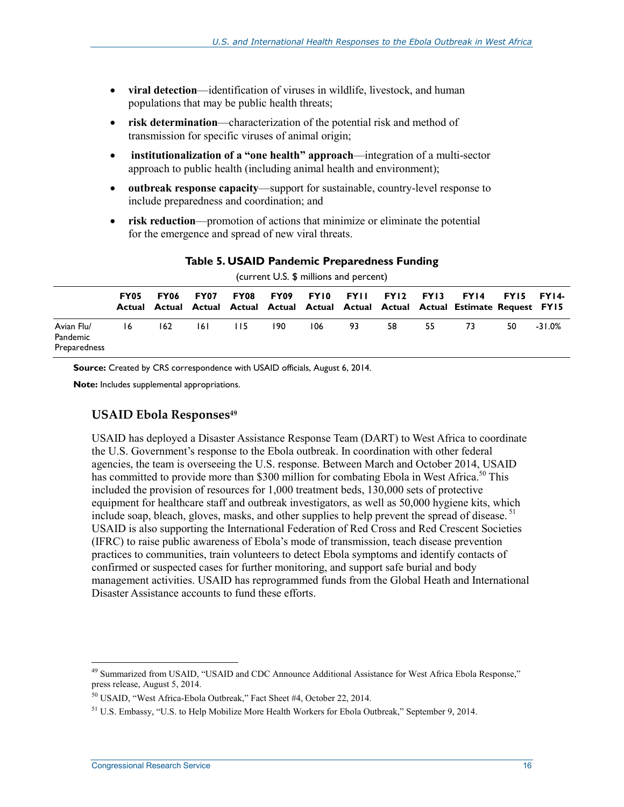- **viral detection**—identification of viruses in wildlife, livestock, and human populations that may be public health threats;
- **risk determination**—characterization of the potential risk and method of transmission for specific viruses of animal origin;
- • **institutionalization of a "one health" approach**—integration of a multi-sector approach to public health (including animal health and environment);
- **outbreak response capacity**—support for sustainable, country-level response to include preparedness and coordination; and
- **risk reduction**—promotion of actions that minimize or eliminate the potential for the emergence and spread of new viral threats.

| (current U.S. \$ millions and percent) |      |      |      |     |                  |     |                     |    |    |                                                                                              |              |          |
|----------------------------------------|------|------|------|-----|------------------|-----|---------------------|----|----|----------------------------------------------------------------------------------------------|--------------|----------|
|                                        | FY05 | FY06 | FY07 |     | <b>FY08 FY09</b> |     | FYI0 FYII FYI2 FYI3 |    |    | FY14<br>Actual Actual Actual Actual Actual Actual Actual Actual Actual Estimate Request FY15 | $FY15 FY14-$ |          |
| Avian Flu/<br>Pandemic<br>Preparedness | 16   | 162  | 161  | 115 | 190              | 106 | 93                  | 58 | 55 | -73                                                                                          | 50           | $-31.0%$ |

#### **Table 5. USAID Pandemic Preparedness Funding**

**Source:** Created by CRS correspondence with USAID officials, August 6, 2014.

**Note:** Includes supplemental appropriations.

#### **USAID Ebola Responses<sup>49</sup>**

USAID has deployed a Disaster Assistance Response Team (DART) to West Africa to coordinate the U.S. Government's response to the Ebola outbreak. In coordination with other federal agencies, the team is overseeing the U.S. response. Between March and October 2014, USAID has committed to provide more than \$300 million for combating Ebola in West Africa.<sup>50</sup> This included the provision of resources for 1,000 treatment beds, 130,000 sets of protective equipment for healthcare staff and outbreak investigators, as well as 50,000 hygiene kits, which include soap, bleach, gloves, masks, and other supplies to help prevent the spread of disease.<sup>51</sup> USAID is also supporting the International Federation of Red Cross and Red Crescent Societies (IFRC) to raise public awareness of Ebola's mode of transmission, teach disease prevention practices to communities, train volunteers to detect Ebola symptoms and identify contacts of confirmed or suspected cases for further monitoring, and support safe burial and body management activities. USAID has reprogrammed funds from the Global Heath and International Disaster Assistance accounts to fund these efforts.

<sup>&</sup>lt;sup>49</sup> Summarized from USAID, "USAID and CDC Announce Additional Assistance for West Africa Ebola Response," press release, August 5, 2014.

<sup>50</sup> USAID, "West Africa-Ebola Outbreak," Fact Sheet #4, October 22, 2014.

<sup>&</sup>lt;sup>51</sup> U.S. Embassy, "U.S. to Help Mobilize More Health Workers for Ebola Outbreak," September 9, 2014.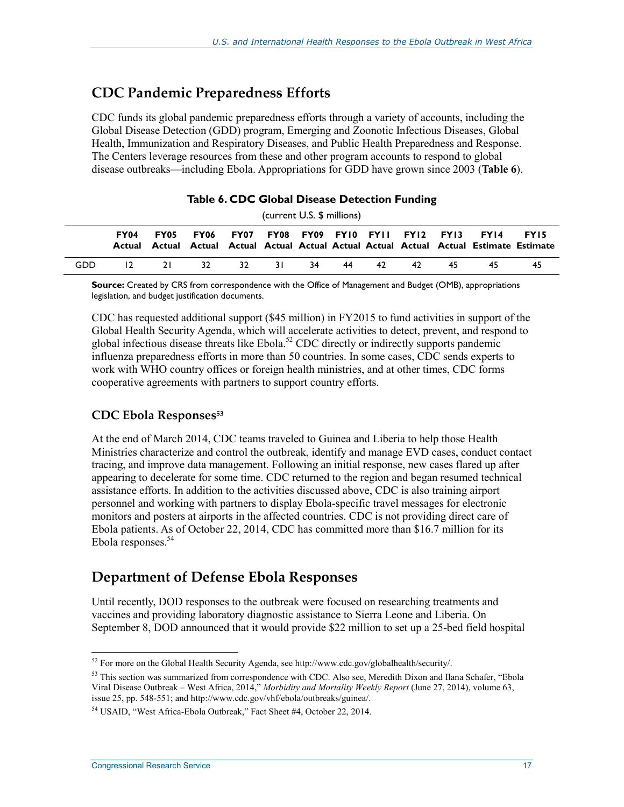### **CDC Pandemic Preparedness Efforts**

CDC funds its global pandemic preparedness efforts through a variety of accounts, including the Global Disease Detection (GDD) program, Emerging and Zoonotic Infectious Diseases, Global Health, Immunization and Respiratory Diseases, and Public Health Preparedness and Response. The Centers leverage resources from these and other program accounts to respond to global disease outbreaks—including Ebola. Appropriations for GDD have grown since 2003 (**Table 6**).

#### **Table 6. CDC Global Disease Detection Funding**

(current U.S. \$ millions)

|      | FY04   |    | <b>FY05 FY06 FY07 FY08 FY09 FY10 FY11 FY12 FY13 FY14</b> |             |  |    |       |     | Actual Actual Actual Actual Actual Actual Actual Actual Actual Actual Estimate Estimate | FY15 |
|------|--------|----|----------------------------------------------------------|-------------|--|----|-------|-----|-----------------------------------------------------------------------------------------|------|
| GDD. | $12 -$ | 21 |                                                          | 32 32 31 34 |  | 44 | 42 42 | 45. | 45.                                                                                     | 45.  |

**Source:** Created by CRS from correspondence with the Office of Management and Budget (OMB), appropriations legislation, and budget justification documents.

CDC has requested additional support (\$45 million) in FY2015 to fund activities in support of the Global Health Security Agenda, which will accelerate activities to detect, prevent, and respond to global infectious disease threats like Ebola.<sup>52</sup> CDC directly or indirectly supports pandemic influenza preparedness efforts in more than 50 countries. In some cases, CDC sends experts to work with WHO country offices or foreign health ministries, and at other times, CDC forms cooperative agreements with partners to support country efforts.

#### **CDC Ebola Responses53**

At the end of March 2014, CDC teams traveled to Guinea and Liberia to help those Health Ministries characterize and control the outbreak, identify and manage EVD cases, conduct contact tracing, and improve data management. Following an initial response, new cases flared up after appearing to decelerate for some time. CDC returned to the region and began resumed technical assistance efforts. In addition to the activities discussed above, CDC is also training airport personnel and working with partners to display Ebola-specific travel messages for electronic monitors and posters at airports in the affected countries. CDC is not providing direct care of Ebola patients. As of October 22, 2014, CDC has committed more than \$16.7 million for its Ebola responses.<sup>54</sup>

#### **Department of Defense Ebola Responses**

Until recently, DOD responses to the outbreak were focused on researching treatments and vaccines and providing laboratory diagnostic assistance to Sierra Leone and Liberia. On September 8, DOD announced that it would provide \$22 million to set up a 25-bed field hospital

<sup>52</sup> For more on the Global Health Security Agenda, see http://www.cdc.gov/globalhealth/security/.

<sup>&</sup>lt;sup>53</sup> This section was summarized from correspondence with CDC. Also see, Meredith Dixon and Ilana Schafer, "Ebola Viral Disease Outbreak – West Africa, 2014," *Morbidity and Mortality Weekly Report* (June 27, 2014), volume 63, issue 25, pp. 548-551; and http://www.cdc.gov/vhf/ebola/outbreaks/guinea/.

<sup>54</sup> USAID, "West Africa-Ebola Outbreak," Fact Sheet #4, October 22, 2014.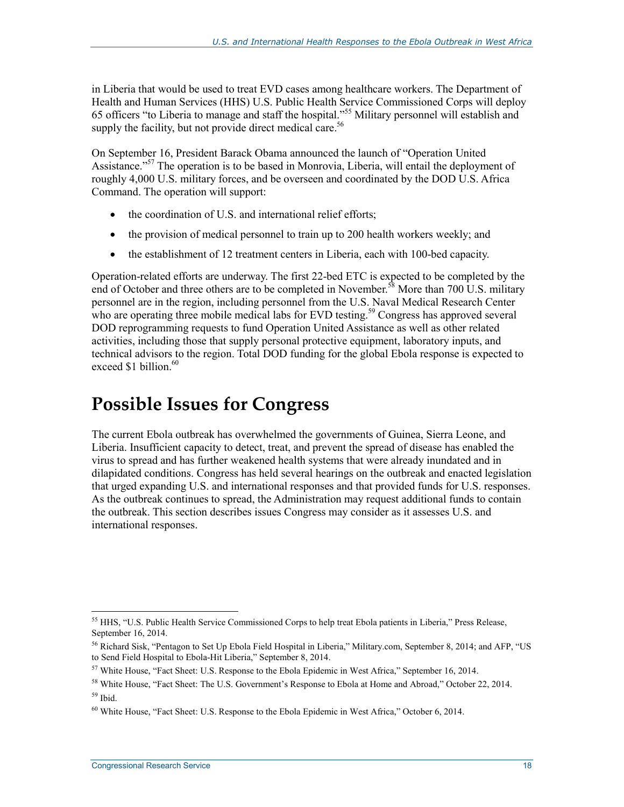in Liberia that would be used to treat EVD cases among healthcare workers. The Department of Health and Human Services (HHS) U.S. Public Health Service Commissioned Corps will deploy 65 officers "to Liberia to manage and staff the hospital."55 Military personnel will establish and supply the facility, but not provide direct medical care.<sup>56</sup>

On September 16, President Barack Obama announced the launch of "Operation United Assistance."<sup>57</sup> The operation is to be based in Monrovia, Liberia, will entail the deployment of roughly 4,000 U.S. military forces, and be overseen and coordinated by the DOD U.S. Africa Command. The operation will support:

- the coordination of U.S. and international relief efforts;
- the provision of medical personnel to train up to 200 health workers weekly; and
- the establishment of 12 treatment centers in Liberia, each with 100-bed capacity.

Operation-related efforts are underway. The first 22-bed ETC is expected to be completed by the end of October and three others are to be completed in November.<sup>58</sup> More than 700 U.S. military personnel are in the region, including personnel from the U.S. Naval Medical Research Center who are operating three mobile medical labs for EVD testing.<sup>59</sup> Congress has approved several DOD reprogramming requests to fund Operation United Assistance as well as other related activities, including those that supply personal protective equipment, laboratory inputs, and technical advisors to the region. Total DOD funding for the global Ebola response is expected to exceed  $$1$  billion<sup>60</sup>

## **Possible Issues for Congress**

The current Ebola outbreak has overwhelmed the governments of Guinea, Sierra Leone, and Liberia. Insufficient capacity to detect, treat, and prevent the spread of disease has enabled the virus to spread and has further weakened health systems that were already inundated and in dilapidated conditions. Congress has held several hearings on the outbreak and enacted legislation that urged expanding U.S. and international responses and that provided funds for U.S. responses. As the outbreak continues to spread, the Administration may request additional funds to contain the outbreak. This section describes issues Congress may consider as it assesses U.S. and international responses.

<sup>1</sup> <sup>55</sup> HHS, "U.S. Public Health Service Commissioned Corps to help treat Ebola patients in Liberia," Press Release, September 16, 2014.

<sup>56</sup> Richard Sisk, "Pentagon to Set Up Ebola Field Hospital in Liberia," Military.com, September 8, 2014; and AFP, "US to Send Field Hospital to Ebola-Hit Liberia," September 8, 2014.

 $57$  White House, "Fact Sheet: U.S. Response to the Ebola Epidemic in West Africa," September 16, 2014.

<sup>&</sup>lt;sup>58</sup> White House, "Fact Sheet: The U.S. Government's Response to Ebola at Home and Abroad," October 22, 2014.  $59$  Ibid.

 $60$  White House, "Fact Sheet: U.S. Response to the Ebola Epidemic in West Africa," October 6, 2014.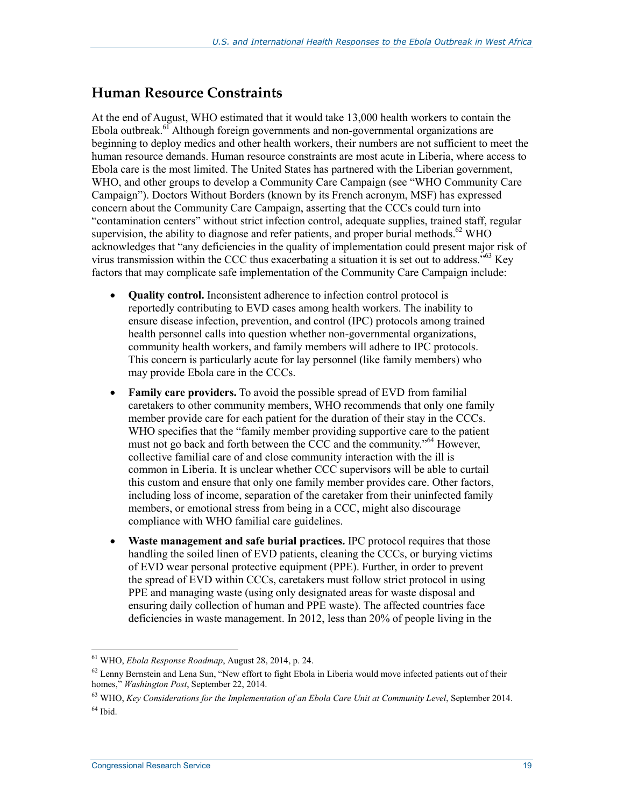#### **Human Resource Constraints**

At the end of August, WHO estimated that it would take 13,000 health workers to contain the Ebola outbreak.<sup>61</sup> Although foreign governments and non-governmental organizations are beginning to deploy medics and other health workers, their numbers are not sufficient to meet the human resource demands. Human resource constraints are most acute in Liberia, where access to Ebola care is the most limited. The United States has partnered with the Liberian government, WHO, and other groups to develop a Community Care Campaign (see "WHO Community Care Campaign"). Doctors Without Borders (known by its French acronym, MSF) has expressed concern about the Community Care Campaign, asserting that the CCCs could turn into "contamination centers" without strict infection control, adequate supplies, trained staff, regular supervision, the ability to diagnose and refer patients, and proper burial methods.<sup>62</sup> WHO acknowledges that "any deficiencies in the quality of implementation could present major risk of virus transmission within the CCC thus exacerbating a situation it is set out to address.<sup> $563$ </sup> Key factors that may complicate safe implementation of the Community Care Campaign include:

- **Quality control.** Inconsistent adherence to infection control protocol is reportedly contributing to EVD cases among health workers. The inability to ensure disease infection, prevention, and control (IPC) protocols among trained health personnel calls into question whether non-governmental organizations, community health workers, and family members will adhere to IPC protocols. This concern is particularly acute for lay personnel (like family members) who may provide Ebola care in the CCCs.
- **Family care providers.** To avoid the possible spread of EVD from familial caretakers to other community members, WHO recommends that only one family member provide care for each patient for the duration of their stay in the CCCs. WHO specifies that the "family member providing supportive care to the patient must not go back and forth between the CCC and the community."<sup>64</sup> However, collective familial care of and close community interaction with the ill is common in Liberia. It is unclear whether CCC supervisors will be able to curtail this custom and ensure that only one family member provides care. Other factors, including loss of income, separation of the caretaker from their uninfected family members, or emotional stress from being in a CCC, might also discourage compliance with WHO familial care guidelines.
- **Waste management and safe burial practices.** IPC protocol requires that those handling the soiled linen of EVD patients, cleaning the CCCs, or burying victims of EVD wear personal protective equipment (PPE). Further, in order to prevent the spread of EVD within CCCs, caretakers must follow strict protocol in using PPE and managing waste (using only designated areas for waste disposal and ensuring daily collection of human and PPE waste). The affected countries face deficiencies in waste management. In 2012, less than 20% of people living in the

<sup>61</sup> WHO, *Ebola Response Roadmap*, August 28, 2014, p. 24.

 $62$  Lenny Bernstein and Lena Sun, "New effort to fight Ebola in Liberia would move infected patients out of their homes," *Washington Post*, September 22, 2014.

<sup>63</sup> WHO, *Key Considerations for the Implementation of an Ebola Care Unit at Community Level*, September 2014.  $64$  Ibid.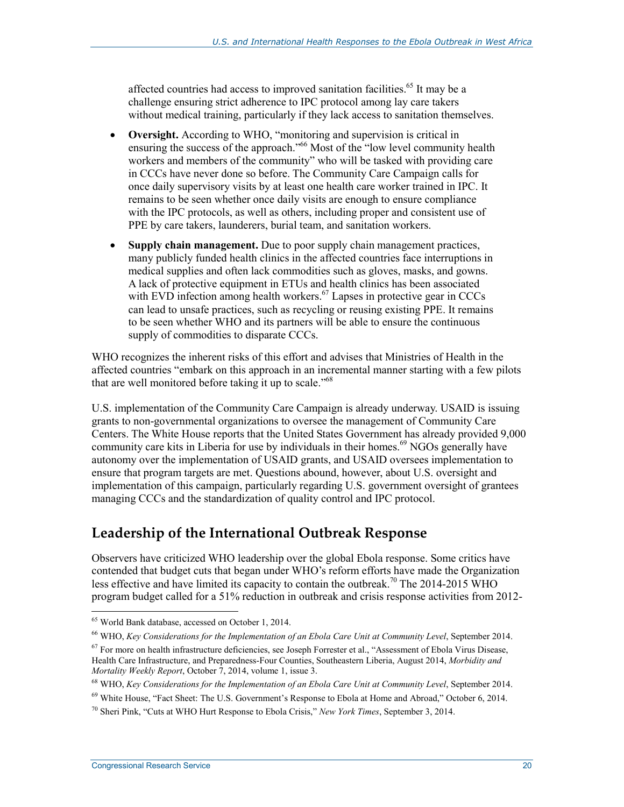affected countries had access to improved sanitation facilities.<sup>65</sup> It may be a challenge ensuring strict adherence to IPC protocol among lay care takers without medical training, particularly if they lack access to sanitation themselves.

- **Oversight.** According to WHO, "monitoring and supervision is critical in ensuring the success of the approach.<sup>566</sup> Most of the "low level community health" workers and members of the community" who will be tasked with providing care in CCCs have never done so before. The Community Care Campaign calls for once daily supervisory visits by at least one health care worker trained in IPC. It remains to be seen whether once daily visits are enough to ensure compliance with the IPC protocols, as well as others, including proper and consistent use of PPE by care takers, launderers, burial team, and sanitation workers.
- **Supply chain management.** Due to poor supply chain management practices, many publicly funded health clinics in the affected countries face interruptions in medical supplies and often lack commodities such as gloves, masks, and gowns. A lack of protective equipment in ETUs and health clinics has been associated with EVD infection among health workers.<sup>67</sup> Lapses in protective gear in CCCs can lead to unsafe practices, such as recycling or reusing existing PPE. It remains to be seen whether WHO and its partners will be able to ensure the continuous supply of commodities to disparate CCCs.

WHO recognizes the inherent risks of this effort and advises that Ministries of Health in the affected countries "embark on this approach in an incremental manner starting with a few pilots that are well monitored before taking it up to scale."<sup>68</sup>

U.S. implementation of the Community Care Campaign is already underway. USAID is issuing grants to non-governmental organizations to oversee the management of Community Care Centers. The White House reports that the United States Government has already provided 9,000 community care kits in Liberia for use by individuals in their homes.<sup>69</sup> NGOs generally have autonomy over the implementation of USAID grants, and USAID oversees implementation to ensure that program targets are met. Questions abound, however, about U.S. oversight and implementation of this campaign, particularly regarding U.S. government oversight of grantees managing CCCs and the standardization of quality control and IPC protocol.

#### **Leadership of the International Outbreak Response**

Observers have criticized WHO leadership over the global Ebola response. Some critics have contended that budget cuts that began under WHO's reform efforts have made the Organization less effective and have limited its capacity to contain the outbreak.<sup>70</sup> The 2014-2015 WHO program budget called for a 51% reduction in outbreak and crisis response activities from 2012-

<sup>65</sup> World Bank database, accessed on October 1, 2014.

<sup>66</sup> WHO, *Key Considerations for the Implementation of an Ebola Care Unit at Community Level*, September 2014.

 $67$  For more on health infrastructure deficiencies, see Joseph Forrester et al., "Assessment of Ebola Virus Disease, Health Care Infrastructure, and Preparedness-Four Counties, Southeastern Liberia, August 2014, *Morbidity and Mortality Weekly Report*, October 7, 2014, volume 1, issue 3.

<sup>68</sup> WHO, *Key Considerations for the Implementation of an Ebola Care Unit at Community Level*, September 2014.

 $69$  White House, "Fact Sheet: The U.S. Government's Response to Ebola at Home and Abroad," October 6, 2014.

<sup>70</sup> Sheri Pink, "Cuts at WHO Hurt Response to Ebola Crisis," *New York Times*, September 3, 2014.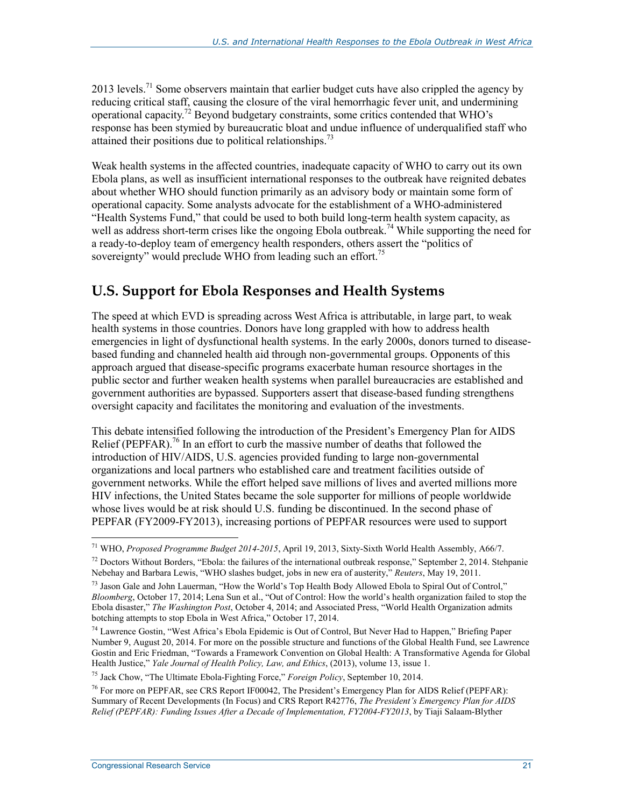2013 levels.<sup>71</sup> Some observers maintain that earlier budget cuts have also crippled the agency by reducing critical staff, causing the closure of the viral hemorrhagic fever unit, and undermining operational capacity.72 Beyond budgetary constraints, some critics contended that WHO's response has been stymied by bureaucratic bloat and undue influence of underqualified staff who attained their positions due to political relationships.<sup>73</sup>

Weak health systems in the affected countries, inadequate capacity of WHO to carry out its own Ebola plans, as well as insufficient international responses to the outbreak have reignited debates about whether WHO should function primarily as an advisory body or maintain some form of operational capacity. Some analysts advocate for the establishment of a WHO-administered "Health Systems Fund," that could be used to both build long-term health system capacity, as well as address short-term crises like the ongoing Ebola outbreak.<sup>74</sup> While supporting the need for a ready-to-deploy team of emergency health responders, others assert the "politics of sovereignty" would preclude WHO from leading such an effort.<sup>75</sup>

#### **U.S. Support for Ebola Responses and Health Systems**

The speed at which EVD is spreading across West Africa is attributable, in large part, to weak health systems in those countries. Donors have long grappled with how to address health emergencies in light of dysfunctional health systems. In the early 2000s, donors turned to diseasebased funding and channeled health aid through non-governmental groups. Opponents of this approach argued that disease-specific programs exacerbate human resource shortages in the public sector and further weaken health systems when parallel bureaucracies are established and government authorities are bypassed. Supporters assert that disease-based funding strengthens oversight capacity and facilitates the monitoring and evaluation of the investments.

This debate intensified following the introduction of the President's Emergency Plan for AIDS Relief (PEPFAR).<sup>76</sup> In an effort to curb the massive number of deaths that followed the introduction of HIV/AIDS, U.S. agencies provided funding to large non-governmental organizations and local partners who established care and treatment facilities outside of government networks. While the effort helped save millions of lives and averted millions more HIV infections, the United States became the sole supporter for millions of people worldwide whose lives would be at risk should U.S. funding be discontinued. In the second phase of PEPFAR (FY2009-FY2013), increasing portions of PEPFAR resources were used to support

75 Jack Chow, "The Ultimate Ebola-Fighting Force," *Foreign Policy*, September 10, 2014.

<sup>71</sup> WHO, *Proposed Programme Budget 2014-2015*, April 19, 2013, Sixty-Sixth World Health Assembly, A66/7.

 $<sup>72</sup>$  Doctors Without Borders, "Ebola: the failures of the international outbreak response," September 2, 2014. Stehpanie</sup> Nebehay and Barbara Lewis, "WHO slashes budget, jobs in new era of austerity," *Reuters*, May 19, 2011.

<sup>&</sup>lt;sup>73</sup> Jason Gale and John Lauerman, "How the World's Top Health Body Allowed Ebola to Spiral Out of Control," *Bloomberg*, October 17, 2014; Lena Sun et al., "Out of Control: How the world's health organization failed to stop the Ebola disaster," *The Washington Post*, October 4, 2014; and Associated Press, "World Health Organization admits botching attempts to stop Ebola in West Africa," October 17, 2014.

<sup>74</sup> Lawrence Gostin, "West Africa's Ebola Epidemic is Out of Control, But Never Had to Happen," Briefing Paper Number 9, August 20, 2014. For more on the possible structure and functions of the Global Health Fund, see Lawrence Gostin and Eric Friedman, "Towards a Framework Convention on Global Health: A Transformative Agenda for Global Health Justice," *Yale Journal of Health Policy, Law, and Ethics*, (2013), volume 13, issue 1.

<sup>76</sup> For more on PEPFAR, see CRS Report IF00042, The President's Emergency Plan for AIDS Relief (PEPFAR): Summary of Recent Developments (In Focus) and CRS Report R42776, *The President's Emergency Plan for AIDS Relief (PEPFAR): Funding Issues After a Decade of Implementation, FY2004-FY2013*, by Tiaji Salaam-Blyther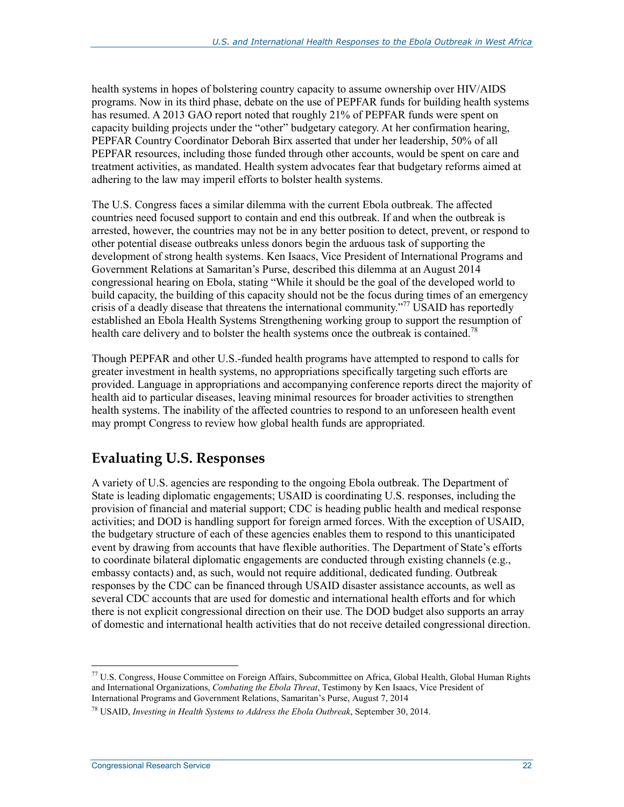health systems in hopes of bolstering country capacity to assume ownership over HIV/AIDS programs. Now in its third phase, debate on the use of PEPFAR funds for building health systems has resumed. A 2013 GAO report noted that roughly 21% of PEPFAR funds were spent on capacity building projects under the "other" budgetary category. At her confirmation hearing, PEPFAR Country Coordinator Deborah Birx asserted that under her leadership, 50% of all PEPFAR resources, including those funded through other accounts, would be spent on care and treatment activities, as mandated. Health system advocates fear that budgetary reforms aimed at adhering to the law may imperil efforts to bolster health systems.

The U.S. Congress faces a similar dilemma with the current Ebola outbreak. The affected countries need focused support to contain and end this outbreak. If and when the outbreak is arrested, however, the countries may not be in any better position to detect, prevent, or respond to other potential disease outbreaks unless donors begin the arduous task of supporting the development of strong health systems. Ken Isaacs, Vice President of International Programs and Government Relations at Samaritan's Purse, described this dilemma at an August 2014 congressional hearing on Ebola, stating "While it should be the goal of the developed world to build capacity, the building of this capacity should not be the focus during times of an emergency crisis of a deadly disease that threatens the international community."<sup>77</sup> USAID has reportedly established an Ebola Health Systems Strengthening working group to support the resumption of health care delivery and to bolster the health systems once the outbreak is contained.<sup>78</sup>

Though PEPFAR and other U.S.-funded health programs have attempted to respond to calls for greater investment in health systems, no appropriations specifically targeting such efforts are provided. Language in appropriations and accompanying conference reports direct the majority of health aid to particular diseases, leaving minimal resources for broader activities to strengthen health systems. The inability of the affected countries to respond to an unforeseen health event may prompt Congress to review how global health funds are appropriated.

### **Evaluating U.S. Responses**

A variety of U.S. agencies are responding to the ongoing Ebola outbreak. The Department of State is leading diplomatic engagements; USAID is coordinating U.S. responses, including the provision of financial and material support; CDC is heading public health and medical response activities; and DOD is handling support for foreign armed forces. With the exception of USAID, the budgetary structure of each of these agencies enables them to respond to this unanticipated event by drawing from accounts that have flexible authorities. The Department of State's efforts to coordinate bilateral diplomatic engagements are conducted through existing channels (e.g., embassy contacts) and, as such, would not require additional, dedicated funding. Outbreak responses by the CDC can be financed through USAID disaster assistance accounts, as well as several CDC accounts that are used for domestic and international health efforts and for which there is not explicit congressional direction on their use. The DOD budget also supports an array of domestic and international health activities that do not receive detailed congressional direction.

<sup>77</sup> U.S. Congress, House Committee on Foreign Affairs, Subcommittee on Africa, Global Health, Global Human Rights and International Organizations, *Combating the Ebola Threat*, Testimony by Ken Isaacs, Vice President of International Programs and Government Relations, Samaritan's Purse, August 7, 2014

<sup>78</sup> USAID, *Investing in Health Systems to Address the Ebola Outbreak*, September 30, 2014.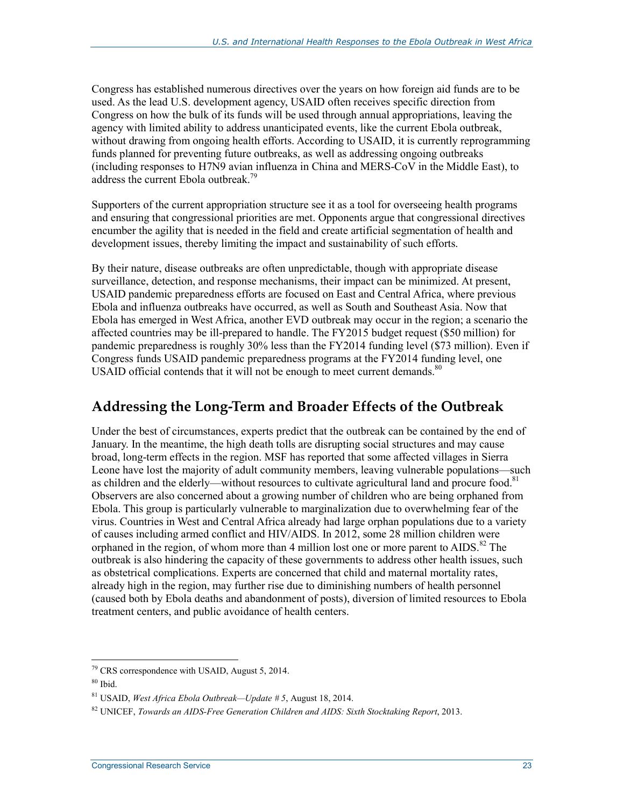Congress has established numerous directives over the years on how foreign aid funds are to be used. As the lead U.S. development agency, USAID often receives specific direction from Congress on how the bulk of its funds will be used through annual appropriations, leaving the agency with limited ability to address unanticipated events, like the current Ebola outbreak, without drawing from ongoing health efforts. According to USAID, it is currently reprogramming funds planned for preventing future outbreaks, as well as addressing ongoing outbreaks (including responses to H7N9 avian influenza in China and MERS-CoV in the Middle East), to address the current Ebola outbreak.<sup>79</sup>

Supporters of the current appropriation structure see it as a tool for overseeing health programs and ensuring that congressional priorities are met. Opponents argue that congressional directives encumber the agility that is needed in the field and create artificial segmentation of health and development issues, thereby limiting the impact and sustainability of such efforts.

By their nature, disease outbreaks are often unpredictable, though with appropriate disease surveillance, detection, and response mechanisms, their impact can be minimized. At present, USAID pandemic preparedness efforts are focused on East and Central Africa, where previous Ebola and influenza outbreaks have occurred, as well as South and Southeast Asia. Now that Ebola has emerged in West Africa, another EVD outbreak may occur in the region; a scenario the affected countries may be ill-prepared to handle. The FY2015 budget request (\$50 million) for pandemic preparedness is roughly 30% less than the FY2014 funding level (\$73 million). Even if Congress funds USAID pandemic preparedness programs at the FY2014 funding level, one USAID official contends that it will not be enough to meet current demands. $80$ 

#### **Addressing the Long-Term and Broader Effects of the Outbreak**

Under the best of circumstances, experts predict that the outbreak can be contained by the end of January. In the meantime, the high death tolls are disrupting social structures and may cause broad, long-term effects in the region. MSF has reported that some affected villages in Sierra Leone have lost the majority of adult community members, leaving vulnerable populations—such as children and the elderly—without resources to cultivate agricultural land and procure food.<sup>81</sup> Observers are also concerned about a growing number of children who are being orphaned from Ebola. This group is particularly vulnerable to marginalization due to overwhelming fear of the virus. Countries in West and Central Africa already had large orphan populations due to a variety of causes including armed conflict and HIV/AIDS. In 2012, some 28 million children were orphaned in the region, of whom more than 4 million lost one or more parent to  $AIDS$ .<sup>82</sup> The outbreak is also hindering the capacity of these governments to address other health issues, such as obstetrical complications. Experts are concerned that child and maternal mortality rates, already high in the region, may further rise due to diminishing numbers of health personnel (caused both by Ebola deaths and abandonment of posts), diversion of limited resources to Ebola treatment centers, and public avoidance of health centers.

 $79$  CRS correspondence with USAID, August 5, 2014.

 $80$  Ibid.

<sup>81</sup> USAID, *West Africa Ebola Outbreak—Update # 5*, August 18, 2014.

<sup>82</sup> UNICEF, *Towards an AIDS-Free Generation Children and AIDS: Sixth Stocktaking Report*, 2013.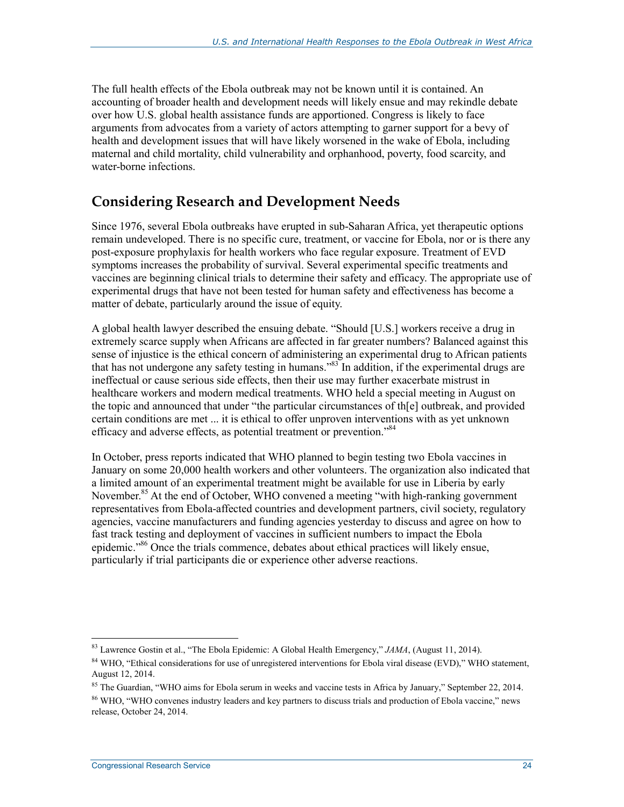The full health effects of the Ebola outbreak may not be known until it is contained. An accounting of broader health and development needs will likely ensue and may rekindle debate over how U.S. global health assistance funds are apportioned. Congress is likely to face arguments from advocates from a variety of actors attempting to garner support for a bevy of health and development issues that will have likely worsened in the wake of Ebola, including maternal and child mortality, child vulnerability and orphanhood, poverty, food scarcity, and water-borne infections.

### **Considering Research and Development Needs**

Since 1976, several Ebola outbreaks have erupted in sub-Saharan Africa, yet therapeutic options remain undeveloped. There is no specific cure, treatment, or vaccine for Ebola, nor or is there any post-exposure prophylaxis for health workers who face regular exposure. Treatment of EVD symptoms increases the probability of survival. Several experimental specific treatments and vaccines are beginning clinical trials to determine their safety and efficacy. The appropriate use of experimental drugs that have not been tested for human safety and effectiveness has become a matter of debate, particularly around the issue of equity.

A global health lawyer described the ensuing debate. "Should [U.S.] workers receive a drug in extremely scarce supply when Africans are affected in far greater numbers? Balanced against this sense of injustice is the ethical concern of administering an experimental drug to African patients that has not undergone any safety testing in humans."83 In addition, if the experimental drugs are ineffectual or cause serious side effects, then their use may further exacerbate mistrust in healthcare workers and modern medical treatments. WHO held a special meeting in August on the topic and announced that under "the particular circumstances of th[e] outbreak, and provided certain conditions are met ... it is ethical to offer unproven interventions with as yet unknown efficacy and adverse effects, as potential treatment or prevention."<sup>84</sup>

In October, press reports indicated that WHO planned to begin testing two Ebola vaccines in January on some 20,000 health workers and other volunteers. The organization also indicated that a limited amount of an experimental treatment might be available for use in Liberia by early November.<sup>85</sup> At the end of October, WHO convened a meeting "with high-ranking government" representatives from Ebola-affected countries and development partners, civil society, regulatory agencies, vaccine manufacturers and funding agencies yesterday to discuss and agree on how to fast track testing and deployment of vaccines in sufficient numbers to impact the Ebola epidemic."<sup>86</sup> Once the trials commence, debates about ethical practices will likely ensue, particularly if trial participants die or experience other adverse reactions.

<sup>83</sup> Lawrence Gostin et al., "The Ebola Epidemic: A Global Health Emergency," *JAMA*, (August 11, 2014).

<sup>&</sup>lt;sup>84</sup> WHO, "Ethical considerations for use of unregistered interventions for Ebola viral disease (EVD)," WHO statement, August 12, 2014.

 $85$  The Guardian, "WHO aims for Ebola serum in weeks and vaccine tests in Africa by January," September 22, 2014.

<sup>86</sup> WHO, "WHO convenes industry leaders and key partners to discuss trials and production of Ebola vaccine," news release, October 24, 2014.